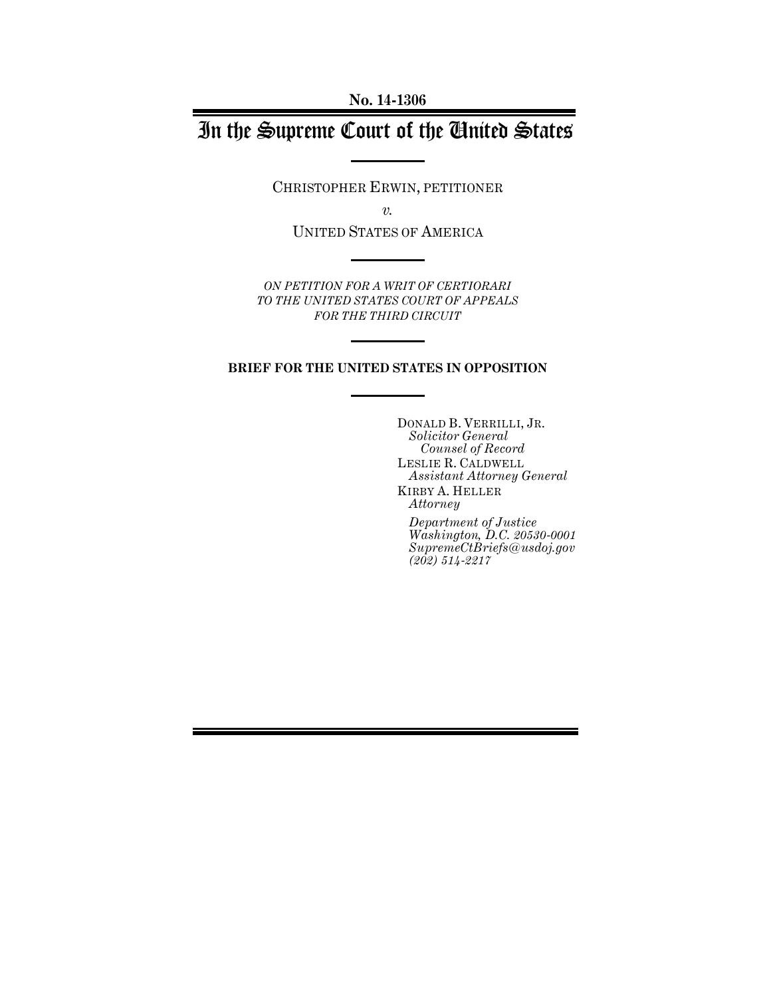**No. 14-1306**

# In the Supreme Court of the United States

CHRISTOPHER ERWIN, PETITIONER

*v.*

UNITED STATES OF AMERICA

*ON PETITION FOR A WRIT OF CERTIORARI TO THE UNITED STATES COURT OF APPEALS FOR THE THIRD CIRCUIT*

#### **BRIEF FOR THE UNITED STATES IN OPPOSITION**

DONALD B. VERRILLI, JR. *Solicitor General Counsel of Record* LESLIE R. CALDWELL *Assistant Attorney General* KIRBY A. HELLER

*Attorney*

*Department of Justice Washington, D.C. 20530-0001 SupremeCtBriefs@usdoj.gov (202) 514-2217*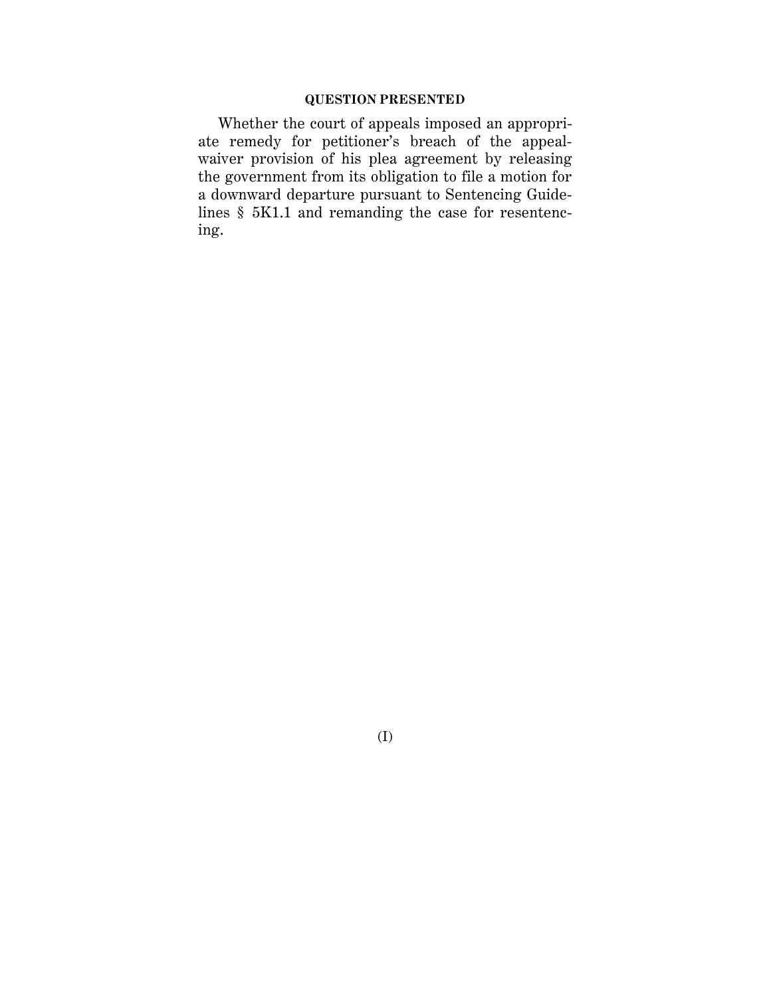## **QUESTION PRESENTED**

Whether the court of appeals imposed an appropriate remedy for petitioner's breach of the appealwaiver provision of his plea agreement by releasing the government from its obligation to file a motion for a downward departure pursuant to Sentencing Guidelines § 5K1.1 and remanding the case for resentencing.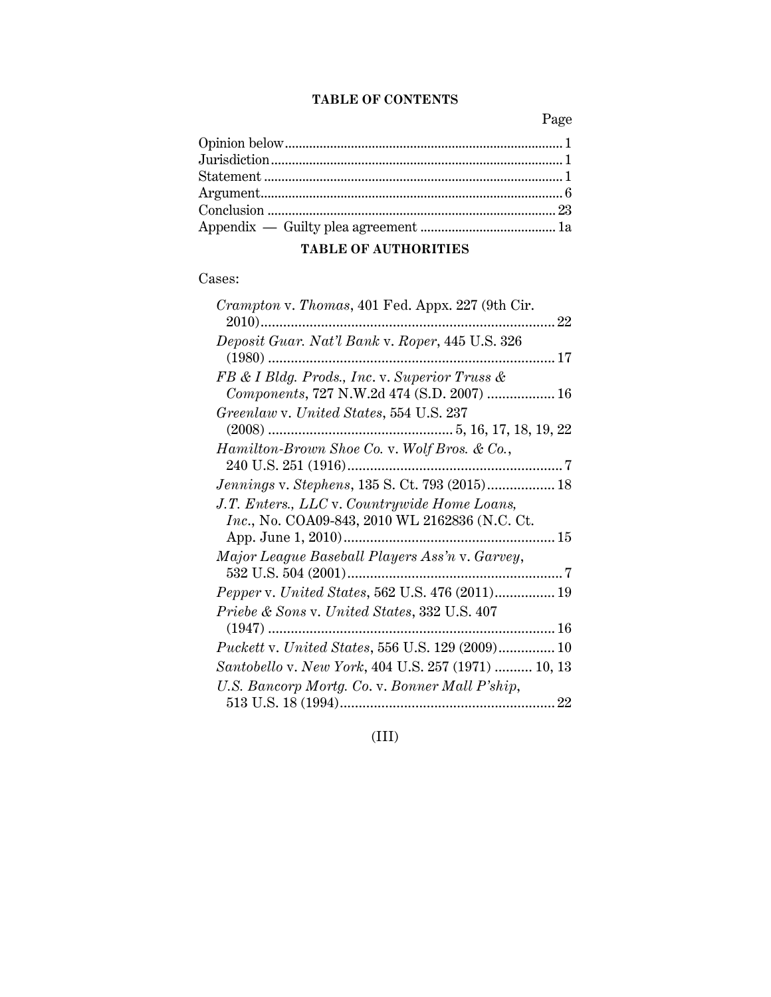## **TABLE OF CONTENTS**

Page

## **TABLE OF AUTHORITIES**

## Cases:

| Crampton v. Thomas, 401 Fed. Appx. 227 (9th Cir.                                               |  |
|------------------------------------------------------------------------------------------------|--|
| Deposit Guar. Nat'l Bank v. Roper, 445 U.S. 326                                                |  |
| FB & I Bldg. Prods., Inc. v. Superior Truss &<br>Components, 727 N.W.2d 474 (S.D. 2007)  16    |  |
| Greenlaw v. United States, 554 U.S. 237                                                        |  |
| Hamilton-Brown Shoe Co. v. Wolf Bros. & Co.,                                                   |  |
| Jennings v. Stephens, 135 S. Ct. 793 (2015) 18                                                 |  |
| J.T. Enters., LLC v. Countrywide Home Loans,<br>Inc., No. COA09-843, 2010 WL 2162836 (N.C. Ct. |  |
| Major League Baseball Players Ass'n v. Garvey,                                                 |  |
| Pepper v. United States, 562 U.S. 476 (2011) 19                                                |  |
| Priebe & Sons v. United States, 332 U.S. 407                                                   |  |
| Puckett v. United States, 556 U.S. 129 (2009) 10                                               |  |
| Santobello v. New York, 404 U.S. 257 (1971)  10, 13                                            |  |
| U.S. Bancorp Mortg. Co. v. Bonner Mall P'ship,                                                 |  |
|                                                                                                |  |

(III)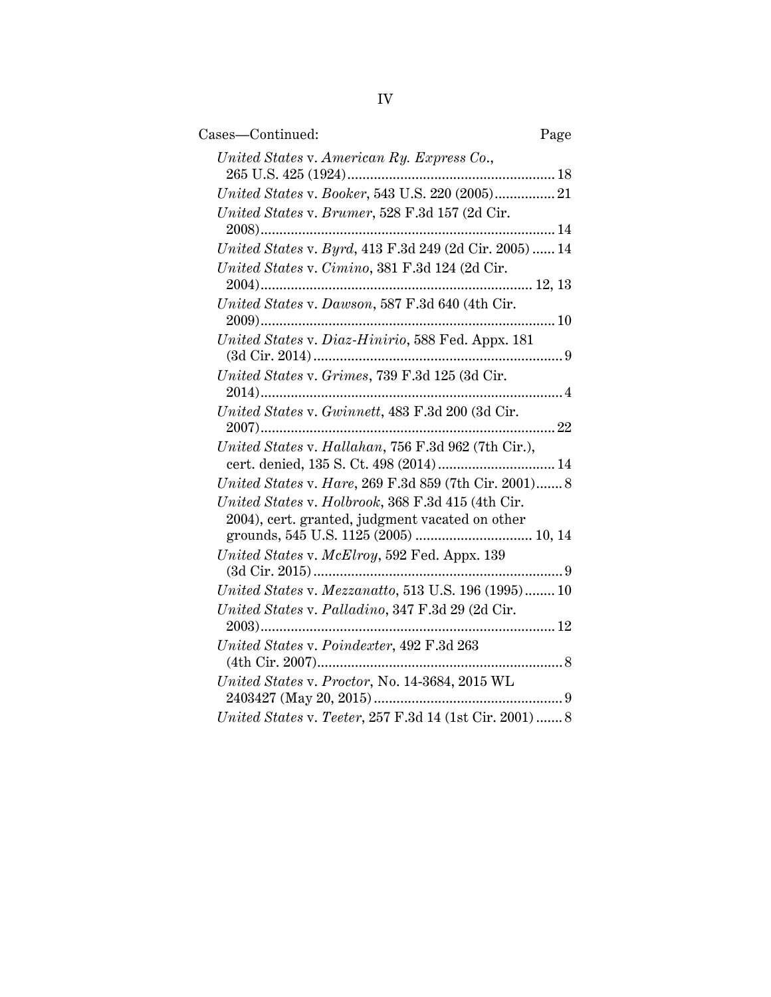| Cases-Continued:                                                                              | Page |
|-----------------------------------------------------------------------------------------------|------|
| United States v. American Ry. Express Co.,                                                    |      |
| United States v. Booker, 543 U.S. 220 (2005) 21                                               |      |
| United States v. Brumer, 528 F.3d 157 (2d Cir.                                                |      |
| United States v. Byrd, 413 F.3d 249 (2d Cir. 2005)  14                                        |      |
| United States v. Cimino, 381 F.3d 124 (2d Cir.                                                |      |
| United States v. Dawson, 587 F.3d 640 (4th Cir.                                               |      |
| United States v. Diaz-Hinirio, 588 Fed. Appx. 181                                             |      |
| United States v. Grimes, 739 F.3d 125 (3d Cir.                                                |      |
| United States v. Gwinnett, 483 F.3d 200 (3d Cir.                                              |      |
| United States v. Hallahan, 756 F.3d 962 (7th Cir.),<br>cert. denied, 135 S. Ct. 498 (2014) 14 |      |
| United States v. Hare, 269 F.3d 859 (7th Cir. 2001) 8                                         |      |
| United States v. Holbrook, 368 F.3d 415 (4th Cir.                                             |      |
| 2004), cert. granted, judgment vacated on other                                               |      |
| United States v. McElroy, 592 Fed. Appx. 139                                                  |      |
| United States v. Mezzanatto, 513 U.S. 196 (1995) 10                                           |      |
| United States v. Palladino, 347 F.3d 29 (2d Cir.                                              |      |
| United States v. Poindexter, 492 F.3d 263                                                     |      |
| United States v. Proctor, No. 14-3684, 2015 WL                                                |      |
| United States v. Teeter, 257 F.3d 14 (1st Cir. 2001)  8                                       |      |
|                                                                                               |      |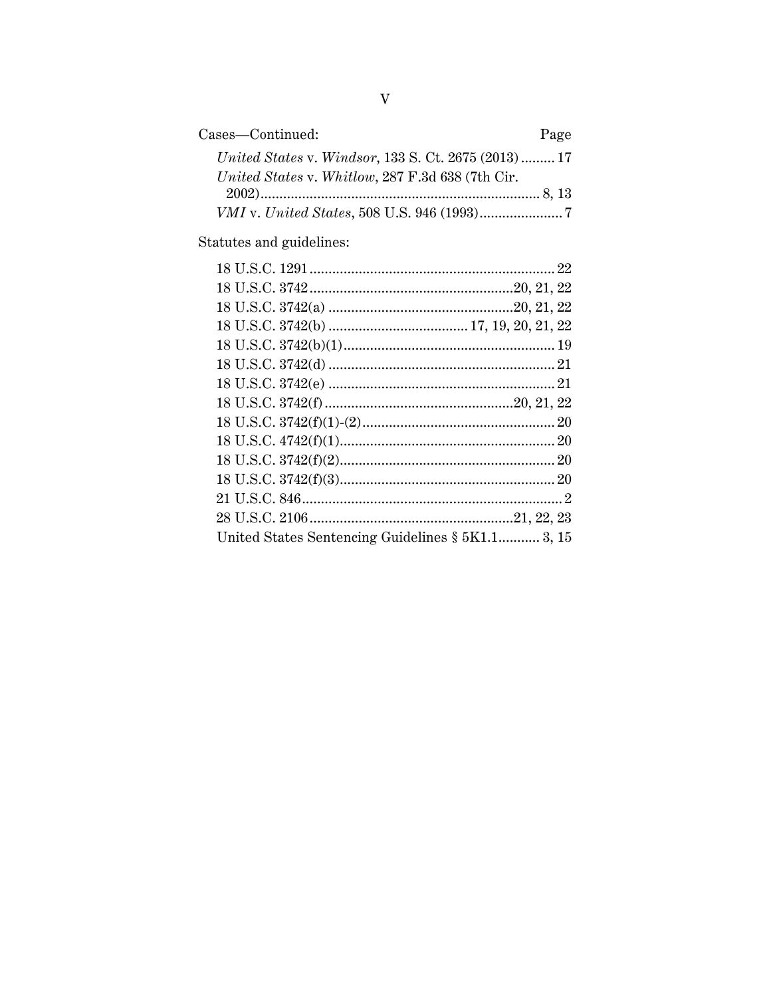| Cases—Continued:                                    | Page |
|-----------------------------------------------------|------|
| United States v. Windsor, 133 S. Ct. 2675 (2013) 17 |      |
| United States v. Whitlow, 287 F.3d 638 (7th Cir.    |      |
|                                                     |      |
|                                                     |      |

Statutes and guidelines:

| United States Sentencing Guidelines § 5K1.1 3, 15 |  |
|---------------------------------------------------|--|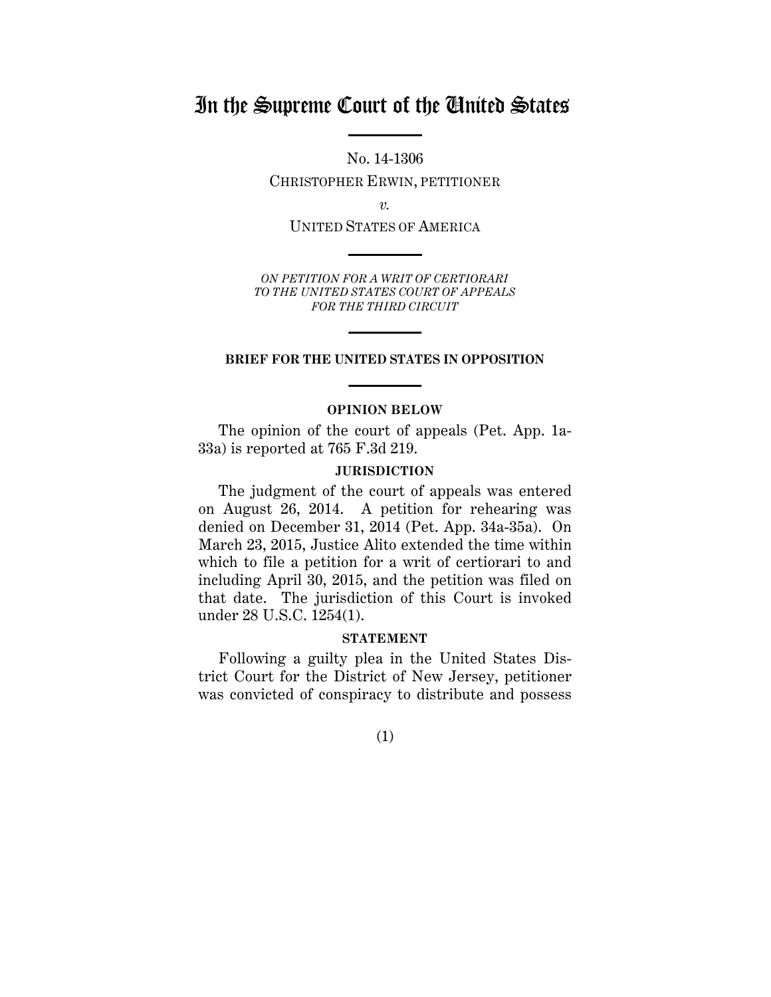## In the Supreme Court of the United States

No. 14-1306

CHRISTOPHER ERWIN, PETITIONER

*v.*

UNITED STATES OF AMERICA

*ON PETITION FOR A WRIT OF CERTIORARI TO THE UNITED STATES COURT OF APPEALS FOR THE THIRD CIRCUIT*

#### **BRIEF FOR THE UNITED STATES IN OPPOSITION**

#### **OPINION BELOW**

<span id="page-5-0"></span>The opinion of the court of appeals (Pet. App. 1a-33a) is reported at 765 F.3d 219.

#### **JURISDICTION**

<span id="page-5-1"></span>The judgment of the court of appeals was entered on August 26, 2014. A petition for rehearing was denied on December 31, 2014 (Pet. App. 34a-35a). On March 23, 2015, Justice Alito extended the time within which to file a petition for a writ of certiorari to and including April 30, 2015, and the petition was filed on that date. The jurisdiction of this Court is invoked under 28 U.S.C. 1254(1).

#### **STATEMENT**

<span id="page-5-2"></span>Following a guilty plea in the United States District Court for the District of New Jersey, petitioner was convicted of conspiracy to distribute and possess

(1)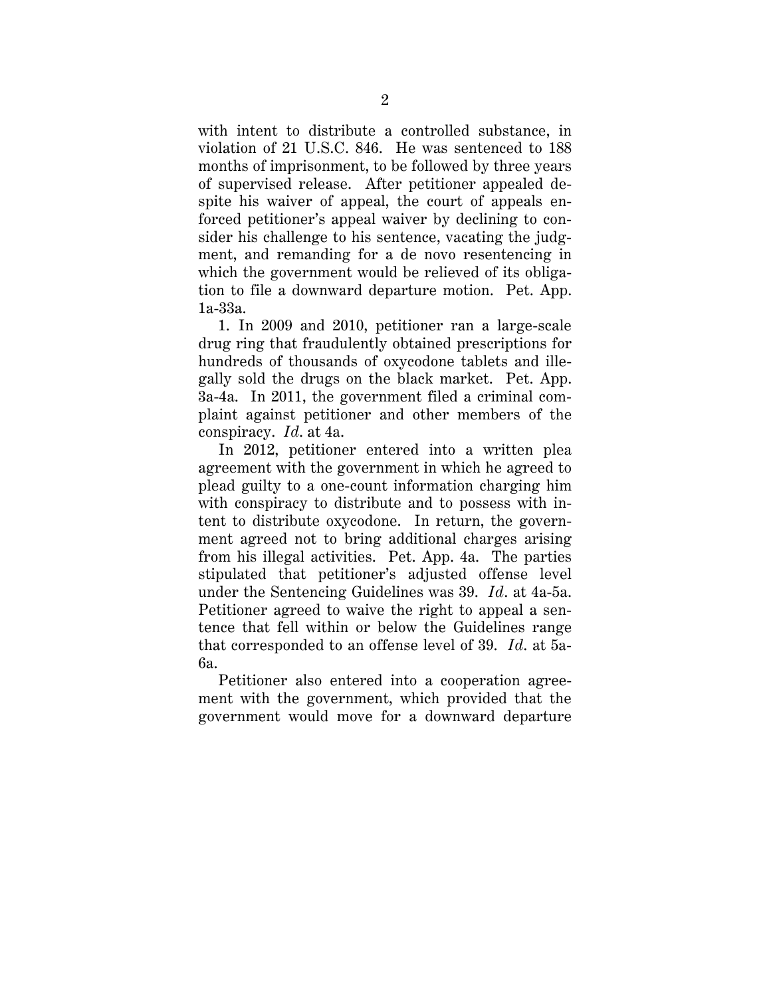with intent to distribute a controlled substance, in violation of 21 U.S.C. 846. He was sentenced to 188 months of imprisonment, to be followed by three years of supervised release. After petitioner appealed despite his waiver of appeal, the court of appeals enforced petitioner's appeal waiver by declining to consider his challenge to his sentence, vacating the judgment, and remanding for a de novo resentencing in which the government would be relieved of its obligation to file a downward departure motion. Pet. App. 1a-33a.

1. In 2009 and 2010, petitioner ran a large-scale drug ring that fraudulently obtained prescriptions for hundreds of thousands of oxycodone tablets and illegally sold the drugs on the black market. Pet. App. 3a-4a. In 2011, the government filed a criminal complaint against petitioner and other members of the conspiracy. *Id*. at 4a.

In 2012, petitioner entered into a written plea agreement with the government in which he agreed to plead guilty to a one-count information charging him with conspiracy to distribute and to possess with intent to distribute oxycodone. In return, the government agreed not to bring additional charges arising from his illegal activities. Pet. App. 4a. The parties stipulated that petitioner's adjusted offense level under the Sentencing Guidelines was 39. *Id*. at 4a-5a. Petitioner agreed to waive the right to appeal a sentence that fell within or below the Guidelines range that corresponded to an offense level of 39. *Id*. at 5a-6a.

Petitioner also entered into a cooperation agreement with the government, which provided that the government would move for a downward departure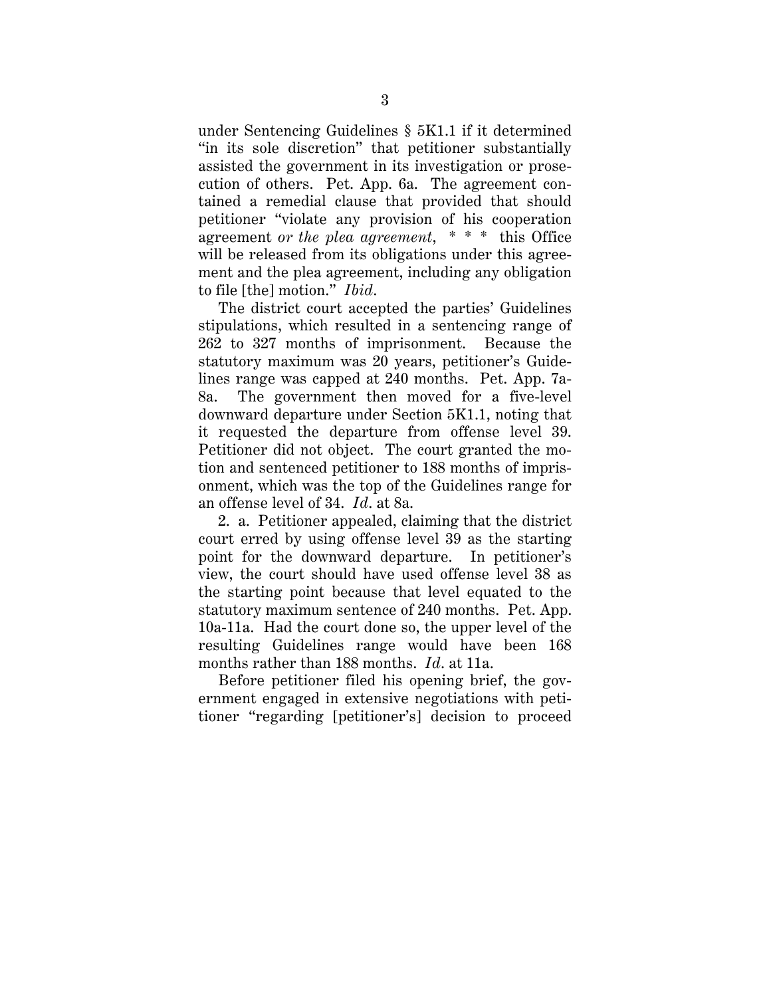under Sentencing Guidelines § 5K1.1 if it determined "in its sole discretion" that petitioner substantially assisted the government in its investigation or prosecution of others. Pet. App. 6a. The agreement contained a remedial clause that provided that should petitioner "violate any provision of his cooperation agreement *or the plea agreement*, \* \* \* this Office will be released from its obligations under this agreement and the plea agreement, including any obligation to file [the] motion." *Ibid*.

The district court accepted the parties' Guidelines stipulations, which resulted in a sentencing range of 262 to 327 months of imprisonment. Because the statutory maximum was 20 years, petitioner's Guidelines range was capped at 240 months. Pet. App. 7a-8a. The government then moved for a five-level downward departure under Section 5K1.1, noting that it requested the departure from offense level 39. Petitioner did not object. The court granted the motion and sentenced petitioner to 188 months of imprisonment, which was the top of the Guidelines range for an offense level of 34. *Id*. at 8a.

2. a. Petitioner appealed, claiming that the district court erred by using offense level 39 as the starting point for the downward departure. In petitioner's view, the court should have used offense level 38 as the starting point because that level equated to the statutory maximum sentence of 240 months. Pet. App. 10a-11a. Had the court done so, the upper level of the resulting Guidelines range would have been 168 months rather than 188 months. *Id*. at 11a.

Before petitioner filed his opening brief, the government engaged in extensive negotiations with petitioner "regarding [petitioner's] decision to proceed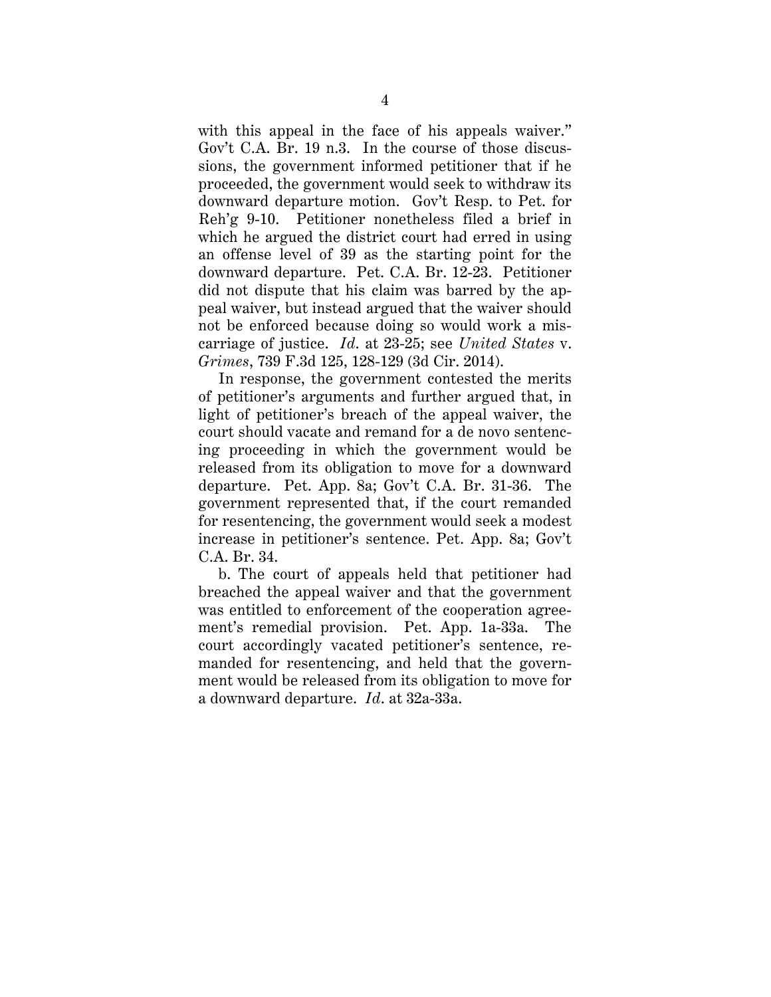with this appeal in the face of his appeals waiver." Gov't C.A. Br. 19 n.3. In the course of those discussions, the government informed petitioner that if he proceeded, the government would seek to withdraw its downward departure motion. Gov't Resp. to Pet. for Reh'g 9-10. Petitioner nonetheless filed a brief in which he argued the district court had erred in using an offense level of 39 as the starting point for the downward departure. Pet. C.A. Br. 12-23. Petitioner did not dispute that his claim was barred by the appeal waiver, but instead argued that the waiver should not be enforced because doing so would work a miscarriage of justice. *Id*. at 23-25; see *United States* v. *Grimes*, 739 F.3d 125, 128-129 (3d Cir. 2014).

In response, the government contested the merits of petitioner's arguments and further argued that, in light of petitioner's breach of the appeal waiver, the court should vacate and remand for a de novo sentencing proceeding in which the government would be released from its obligation to move for a downward departure. Pet. App. 8a; Gov't C.A. Br. 31-36. The government represented that, if the court remanded for resentencing, the government would seek a modest increase in petitioner's sentence. Pet. App. 8a; Gov't C.A. Br. 34.

b. The court of appeals held that petitioner had breached the appeal waiver and that the government was entitled to enforcement of the cooperation agreement's remedial provision. Pet. App. 1a-33a. The court accordingly vacated petitioner's sentence, remanded for resentencing, and held that the government would be released from its obligation to move for a downward departure. *Id*. at 32a-33a.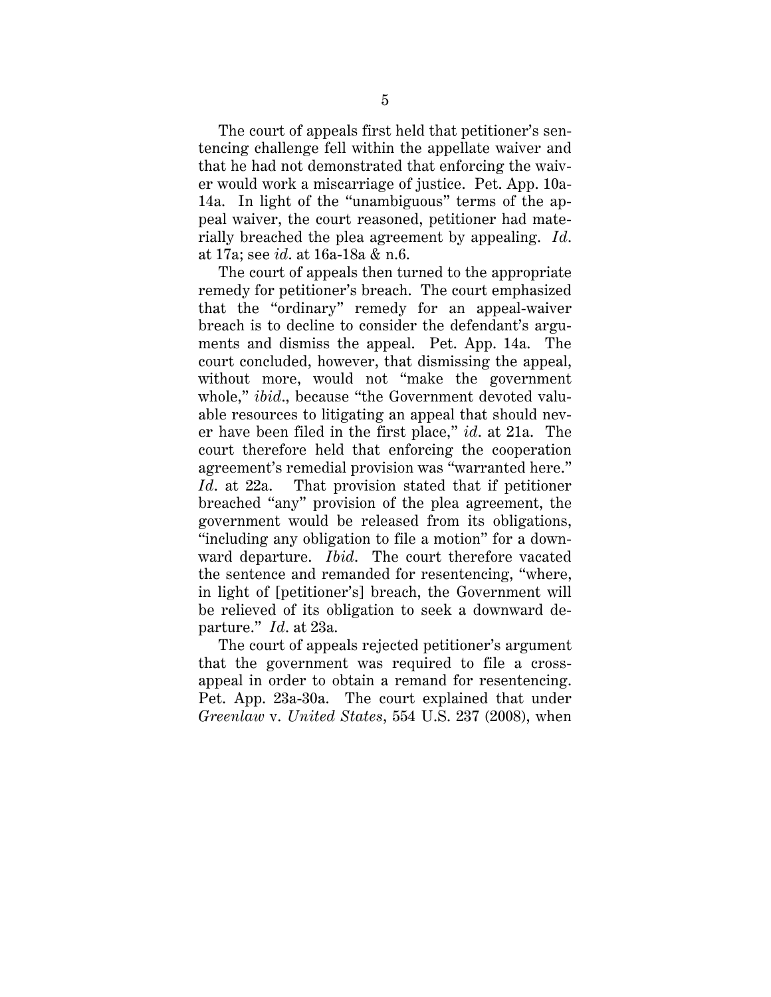The court of appeals first held that petitioner's sentencing challenge fell within the appellate waiver and that he had not demonstrated that enforcing the waiver would work a miscarriage of justice. Pet. App. 10a-14a. In light of the "unambiguous" terms of the appeal waiver, the court reasoned, petitioner had materially breached the plea agreement by appealing. *Id*. at 17a; see *id*. at 16a-18a & n.6.

The court of appeals then turned to the appropriate remedy for petitioner's breach. The court emphasized that the "ordinary" remedy for an appeal-waiver breach is to decline to consider the defendant's arguments and dismiss the appeal. Pet. App. 14a. The court concluded, however, that dismissing the appeal, without more, would not "make the government whole," *ibid*., because "the Government devoted valuable resources to litigating an appeal that should never have been filed in the first place," *id*. at 21a. The court therefore held that enforcing the cooperation agreement's remedial provision was "warranted here." *Id*. at 22a. That provision stated that if petitioner breached "any" provision of the plea agreement, the government would be released from its obligations, "including any obligation to file a motion" for a downward departure. *Ibid*. The court therefore vacated the sentence and remanded for resentencing, "where, in light of [petitioner's] breach, the Government will be relieved of its obligation to seek a downward departure." *Id*. at 23a.

The court of appeals rejected petitioner's argument that the government was required to file a crossappeal in order to obtain a remand for resentencing. Pet. App. 23a-30a. The court explained that under *Greenlaw* v. *United States*, 554 U.S. 237 (2008), when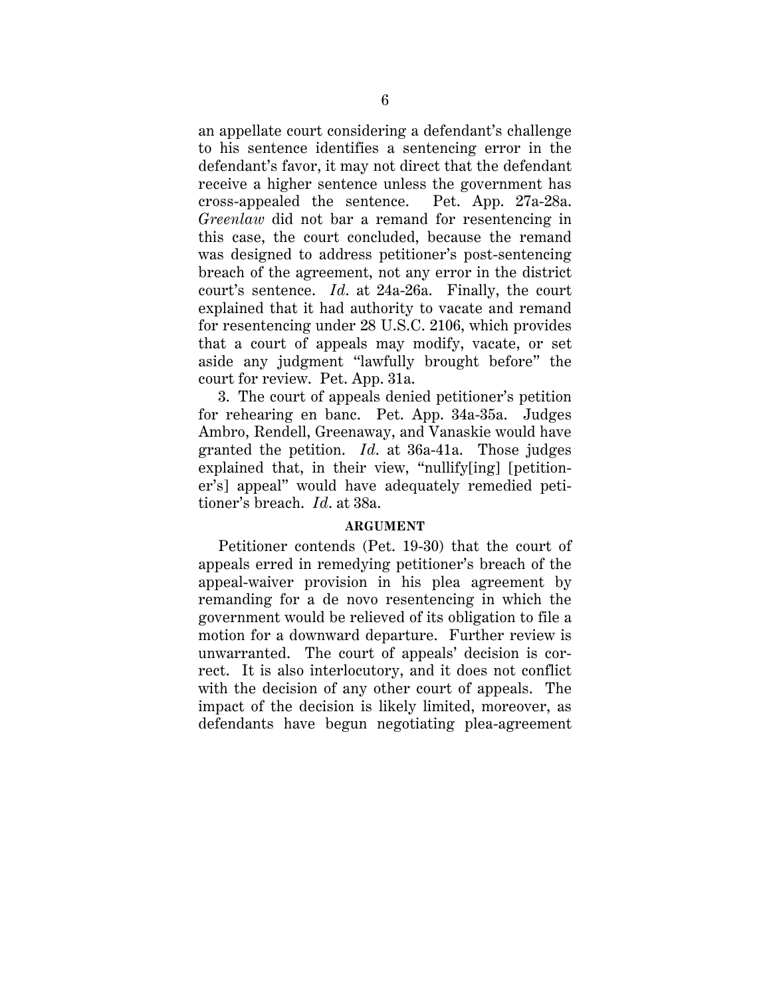an appellate court considering a defendant's challenge to his sentence identifies a sentencing error in the defendant's favor, it may not direct that the defendant receive a higher sentence unless the government has cross-appealed the sentence. Pet. App. 27a-28a. *Greenlaw* did not bar a remand for resentencing in this case, the court concluded, because the remand was designed to address petitioner's post-sentencing breach of the agreement, not any error in the district court's sentence. *Id*. at 24a-26a. Finally, the court explained that it had authority to vacate and remand for resentencing under 28 U.S.C. 2106, which provides that a court of appeals may modify, vacate, or set aside any judgment "lawfully brought before" the court for review. Pet. App. 31a.

3. The court of appeals denied petitioner's petition for rehearing en banc. Pet. App. 34a-35a. Judges Ambro, Rendell, Greenaway, and Vanaskie would have granted the petition. *Id*. at 36a-41a. Those judges explained that, in their view, "nullify[ing] [petitioner's] appeal" would have adequately remedied petitioner's breach. *Id*. at 38a.

#### **ARGUMENT**

<span id="page-10-0"></span>Petitioner contends (Pet. 19-30) that the court of appeals erred in remedying petitioner's breach of the appeal-waiver provision in his plea agreement by remanding for a de novo resentencing in which the government would be relieved of its obligation to file a motion for a downward departure. Further review is unwarranted. The court of appeals' decision is correct. It is also interlocutory, and it does not conflict with the decision of any other court of appeals. The impact of the decision is likely limited, moreover, as defendants have begun negotiating plea-agreement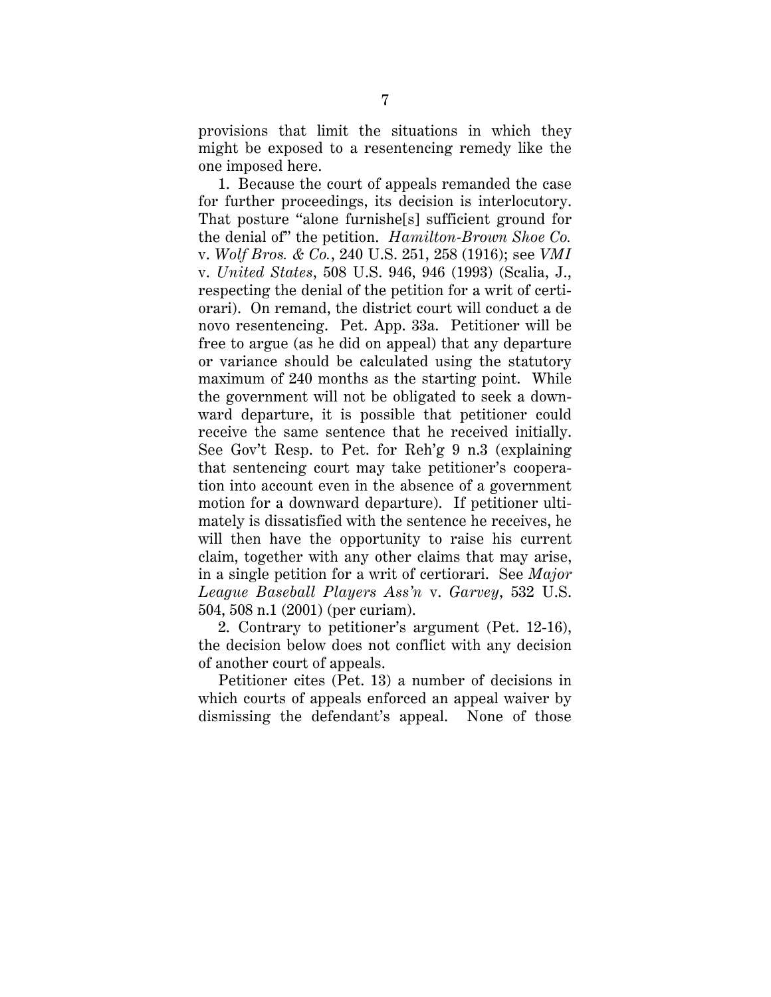provisions that limit the situations in which they might be exposed to a resentencing remedy like the one imposed here.

1. Because the court of appeals remanded the case for further proceedings, its decision is interlocutory. That posture "alone furnishe[s] sufficient ground for the denial of" the petition. *Hamilton-Brown Shoe Co.* v. *Wolf Bros. & Co.*, 240 U.S. 251, 258 (1916); see *VMI* v. *United States*, 508 U.S. 946, 946 (1993) (Scalia, J., respecting the denial of the petition for a writ of certiorari). On remand, the district court will conduct a de novo resentencing. Pet. App. 33a. Petitioner will be free to argue (as he did on appeal) that any departure or variance should be calculated using the statutory maximum of 240 months as the starting point. While the government will not be obligated to seek a downward departure, it is possible that petitioner could receive the same sentence that he received initially. See Gov't Resp. to Pet. for Reh'g 9 n.3 (explaining that sentencing court may take petitioner's cooperation into account even in the absence of a government motion for a downward departure). If petitioner ultimately is dissatisfied with the sentence he receives, he will then have the opportunity to raise his current claim, together with any other claims that may arise, in a single petition for a writ of certiorari. See *Major League Baseball Players Ass'n* v. *Garvey*, 532 U.S. 504, 508 n.1 (2001) (per curiam).

2. Contrary to petitioner's argument (Pet. 12-16), the decision below does not conflict with any decision of another court of appeals.

Petitioner cites (Pet. 13) a number of decisions in which courts of appeals enforced an appeal waiver by dismissing the defendant's appeal. None of those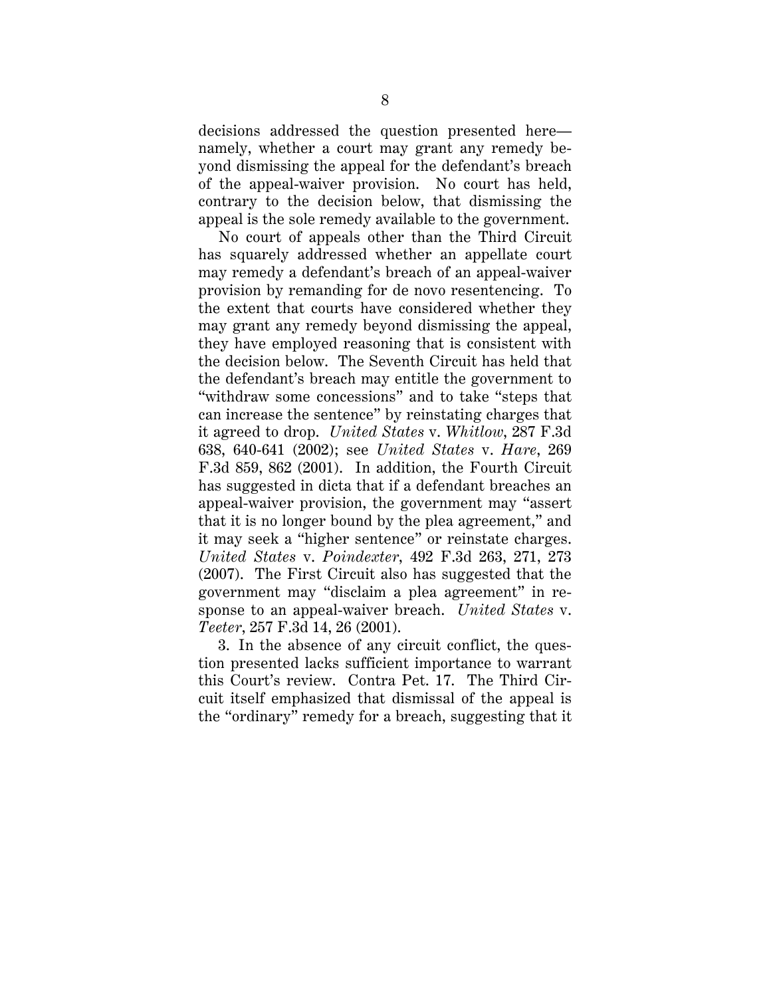decisions addressed the question presented here namely, whether a court may grant any remedy beyond dismissing the appeal for the defendant's breach of the appeal-waiver provision. No court has held, contrary to the decision below, that dismissing the appeal is the sole remedy available to the government.

No court of appeals other than the Third Circuit has squarely addressed whether an appellate court may remedy a defendant's breach of an appeal-waiver provision by remanding for de novo resentencing. To the extent that courts have considered whether they may grant any remedy beyond dismissing the appeal, they have employed reasoning that is consistent with the decision below. The Seventh Circuit has held that the defendant's breach may entitle the government to "withdraw some concessions" and to take "steps that can increase the sentence" by reinstating charges that it agreed to drop. *United States* v. *Whitlow*, 287 F.3d 638, 640-641 (2002); see *United States* v. *Hare*, 269 F.3d 859, 862 (2001). In addition, the Fourth Circuit has suggested in dicta that if a defendant breaches an appeal-waiver provision, the government may "assert that it is no longer bound by the plea agreement," and it may seek a "higher sentence" or reinstate charges. *United States* v. *Poindexter*, 492 F.3d 263, 271, 273 (2007). The First Circuit also has suggested that the government may "disclaim a plea agreement" in response to an appeal-waiver breach. *United States* v. *Teeter*, 257 F.3d 14, 26 (2001).

3. In the absence of any circuit conflict, the question presented lacks sufficient importance to warrant this Court's review. Contra Pet. 17. The Third Circuit itself emphasized that dismissal of the appeal is the "ordinary" remedy for a breach, suggesting that it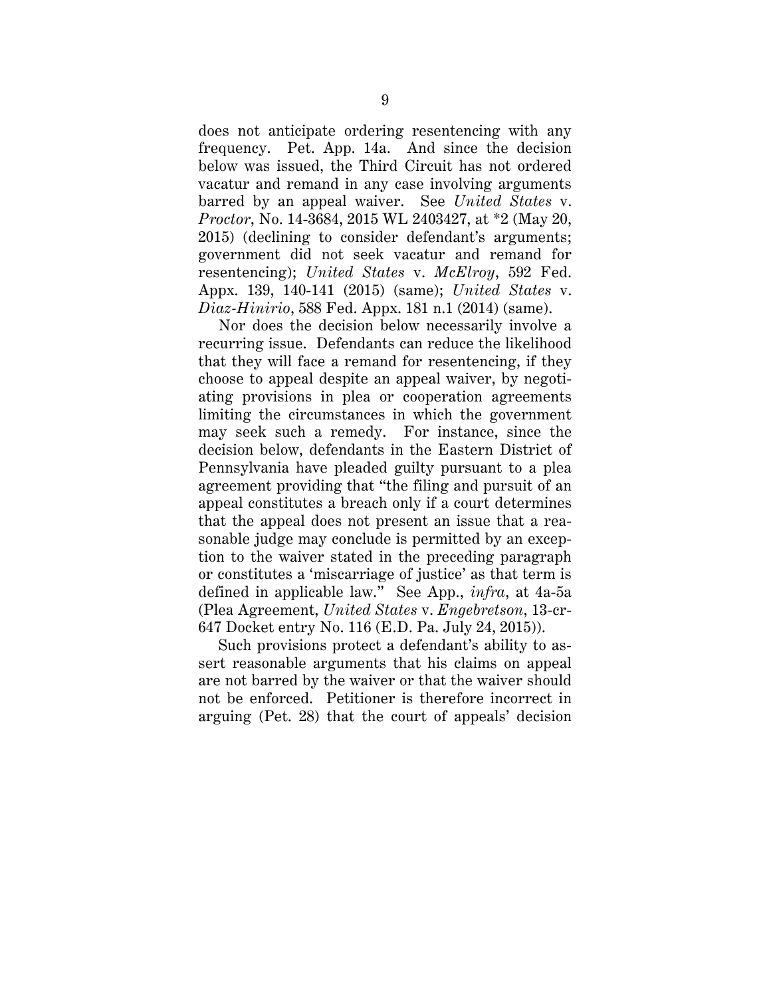does not anticipate ordering resentencing with any frequency. Pet. App. 14a. And since the decision below was issued, the Third Circuit has not ordered vacatur and remand in any case involving arguments barred by an appeal waiver. See *United States* v. *Proctor*, No. 14-3684, 2015 WL 2403427, at \*2 (May 20, 2015) (declining to consider defendant's arguments; government did not seek vacatur and remand for resentencing); *United States* v. *McElroy*, 592 Fed. Appx. 139, 140-141 (2015) (same); *United States* v. *Diaz-Hinirio*, 588 Fed. Appx. 181 n.1 (2014) (same).

Nor does the decision below necessarily involve a recurring issue. Defendants can reduce the likelihood that they will face a remand for resentencing, if they choose to appeal despite an appeal waiver, by negotiating provisions in plea or cooperation agreements limiting the circumstances in which the government may seek such a remedy. For instance, since the decision below, defendants in the Eastern District of Pennsylvania have pleaded guilty pursuant to a plea agreement providing that "the filing and pursuit of an appeal constitutes a breach only if a court determines that the appeal does not present an issue that a reasonable judge may conclude is permitted by an exception to the waiver stated in the preceding paragraph or constitutes a 'miscarriage of justice' as that term is defined in applicable law." See App., *infra*, at 4a-5a (Plea Agreement, *United States* v. *Engebretson*, 13-cr-647 Docket entry No. 116 (E.D. Pa. July 24, 2015)).

Such provisions protect a defendant's ability to assert reasonable arguments that his claims on appeal are not barred by the waiver or that the waiver should not be enforced. Petitioner is therefore incorrect in arguing (Pet. 28) that the court of appeals' decision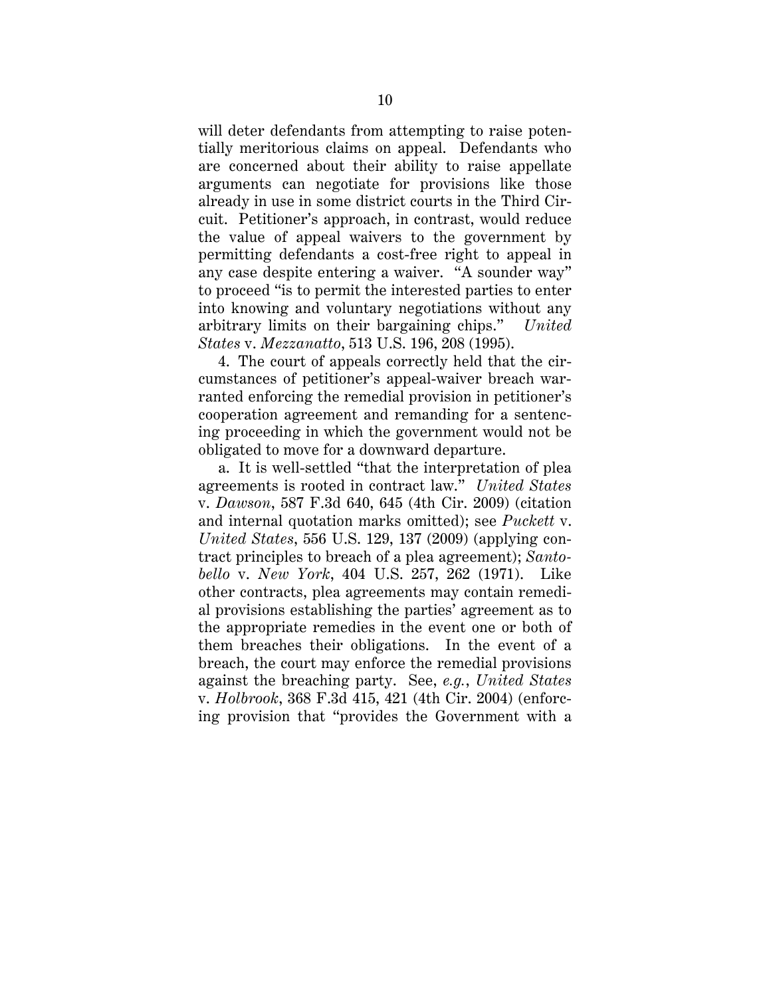will deter defendants from attempting to raise potentially meritorious claims on appeal. Defendants who are concerned about their ability to raise appellate arguments can negotiate for provisions like those already in use in some district courts in the Third Circuit. Petitioner's approach, in contrast, would reduce the value of appeal waivers to the government by permitting defendants a cost-free right to appeal in any case despite entering a waiver. "A sounder way" to proceed "is to permit the interested parties to enter into knowing and voluntary negotiations without any arbitrary limits on their bargaining chips." *United States* v. *Mezzanatto*, 513 U.S. 196, 208 (1995).

4. The court of appeals correctly held that the circumstances of petitioner's appeal-waiver breach warranted enforcing the remedial provision in petitioner's cooperation agreement and remanding for a sentencing proceeding in which the government would not be obligated to move for a downward departure.

a. It is well-settled "that the interpretation of plea agreements is rooted in contract law." *United States* v. *Dawson*, 587 F.3d 640, 645 (4th Cir. 2009) (citation and internal quotation marks omitted); see *Puckett* v. *United States*, 556 U.S. 129, 137 (2009) (applying contract principles to breach of a plea agreement); *Santobello* v. *New York*, 404 U.S. 257, 262 (1971). Like other contracts, plea agreements may contain remedial provisions establishing the parties' agreement as to the appropriate remedies in the event one or both of them breaches their obligations. In the event of a breach, the court may enforce the remedial provisions against the breaching party. See, *e.g.*, *United States* v. *Holbrook*, 368 F.3d 415, 421 (4th Cir. 2004) (enforcing provision that "provides the Government with a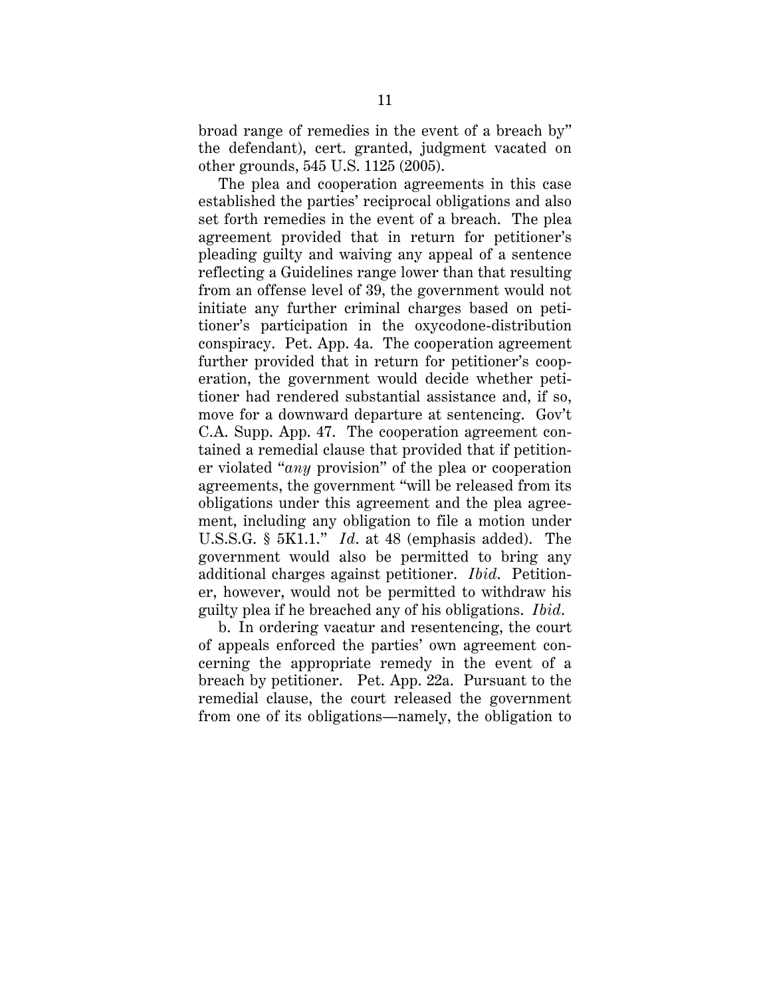broad range of remedies in the event of a breach by" the defendant), cert. granted, judgment vacated on other grounds, 545 U.S. 1125 (2005).

The plea and cooperation agreements in this case established the parties' reciprocal obligations and also set forth remedies in the event of a breach. The plea agreement provided that in return for petitioner's pleading guilty and waiving any appeal of a sentence reflecting a Guidelines range lower than that resulting from an offense level of 39, the government would not initiate any further criminal charges based on petitioner's participation in the oxycodone-distribution conspiracy. Pet. App. 4a. The cooperation agreement further provided that in return for petitioner's cooperation, the government would decide whether petitioner had rendered substantial assistance and, if so, move for a downward departure at sentencing. Gov't C.A. Supp. App. 47. The cooperation agreement contained a remedial clause that provided that if petitioner violated "*any* provision" of the plea or cooperation agreements, the government "will be released from its obligations under this agreement and the plea agreement, including any obligation to file a motion under U.S.S.G. § 5K1.1." *Id*. at 48 (emphasis added). The government would also be permitted to bring any additional charges against petitioner. *Ibid*. Petitioner, however, would not be permitted to withdraw his guilty plea if he breached any of his obligations. *Ibid*.

b. In ordering vacatur and resentencing, the court of appeals enforced the parties' own agreement concerning the appropriate remedy in the event of a breach by petitioner. Pet. App. 22a. Pursuant to the remedial clause, the court released the government from one of its obligations—namely, the obligation to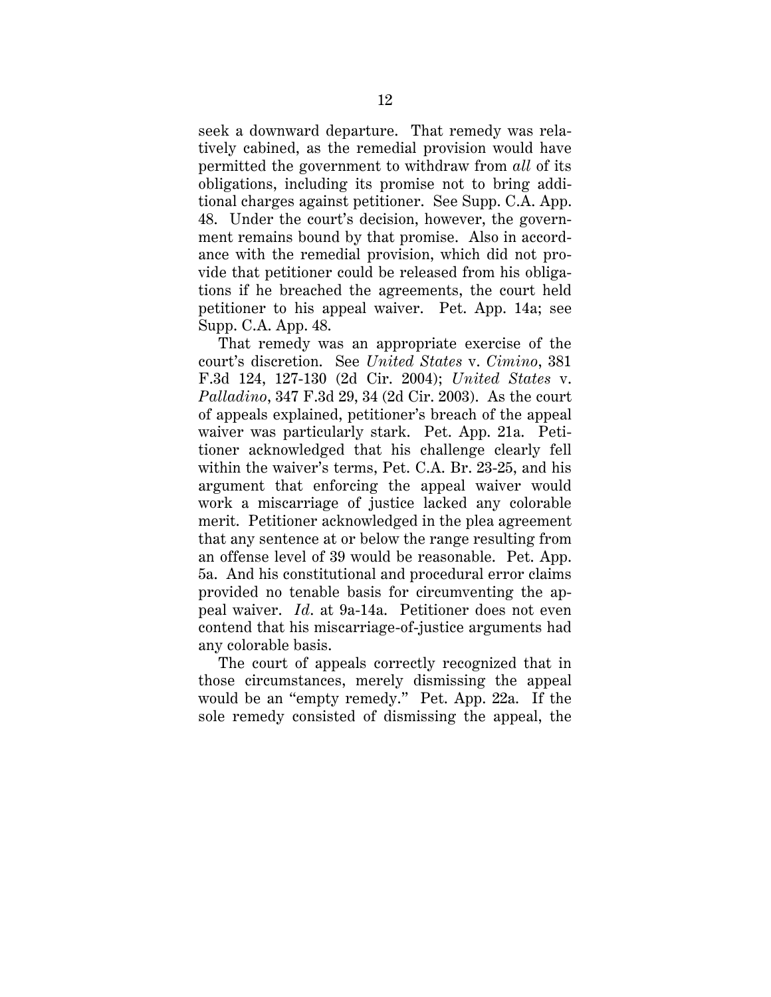seek a downward departure. That remedy was relatively cabined, as the remedial provision would have permitted the government to withdraw from *all* of its obligations, including its promise not to bring additional charges against petitioner. See Supp. C.A. App. 48. Under the court's decision, however, the government remains bound by that promise. Also in accordance with the remedial provision, which did not provide that petitioner could be released from his obligations if he breached the agreements, the court held petitioner to his appeal waiver. Pet. App. 14a; see Supp. C.A. App. 48.

That remedy was an appropriate exercise of the court's discretion. See *United States* v. *Cimino*, 381 F.3d 124, 127-130 (2d Cir. 2004); *United States* v. *Palladino*, 347 F.3d 29, 34 (2d Cir. 2003). As the court of appeals explained, petitioner's breach of the appeal waiver was particularly stark. Pet. App. 21a. Petitioner acknowledged that his challenge clearly fell within the waiver's terms, Pet. C.A. Br. 23-25, and his argument that enforcing the appeal waiver would work a miscarriage of justice lacked any colorable merit. Petitioner acknowledged in the plea agreement that any sentence at or below the range resulting from an offense level of 39 would be reasonable. Pet. App. 5a. And his constitutional and procedural error claims provided no tenable basis for circumventing the appeal waiver. *Id*. at 9a-14a. Petitioner does not even contend that his miscarriage-of-justice arguments had any colorable basis.

The court of appeals correctly recognized that in those circumstances, merely dismissing the appeal would be an "empty remedy." Pet. App. 22a. If the sole remedy consisted of dismissing the appeal, the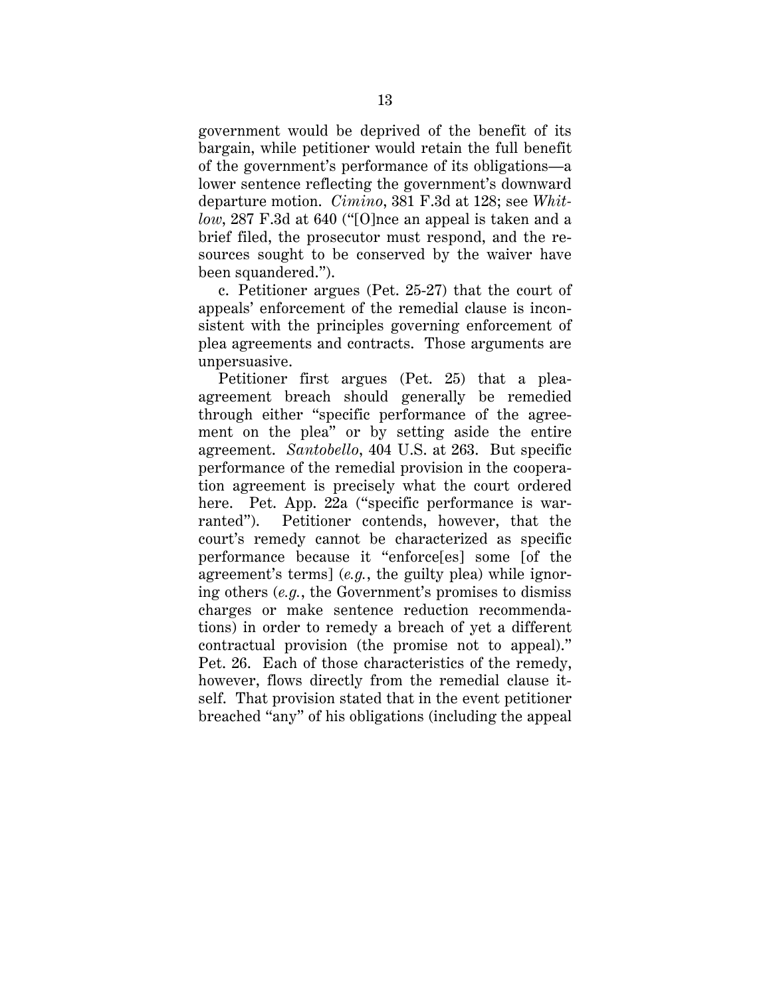government would be deprived of the benefit of its bargain, while petitioner would retain the full benefit of the government's performance of its obligations—a lower sentence reflecting the government's downward departure motion. *Cimino*, 381 F.3d at 128; see *Whitlow*, 287 F.3d at 640 ("[O]nce an appeal is taken and a brief filed, the prosecutor must respond, and the resources sought to be conserved by the waiver have been squandered.").

c. Petitioner argues (Pet. 25-27) that the court of appeals' enforcement of the remedial clause is inconsistent with the principles governing enforcement of plea agreements and contracts. Those arguments are unpersuasive.

Petitioner first argues (Pet. 25) that a pleaagreement breach should generally be remedied through either "specific performance of the agreement on the plea" or by setting aside the entire agreement. *Santobello*, 404 U.S. at 263. But specific performance of the remedial provision in the cooperation agreement is precisely what the court ordered here. Pet. App. 22a ("specific performance is warranted"). Petitioner contends, however, that the court's remedy cannot be characterized as specific performance because it "enforce[es] some [of the agreement's terms] (*e.g.*, the guilty plea) while ignoring others (*e.g.*, the Government's promises to dismiss charges or make sentence reduction recommendations) in order to remedy a breach of yet a different contractual provision (the promise not to appeal)." Pet. 26. Each of those characteristics of the remedy, however, flows directly from the remedial clause itself. That provision stated that in the event petitioner breached "any" of his obligations (including the appeal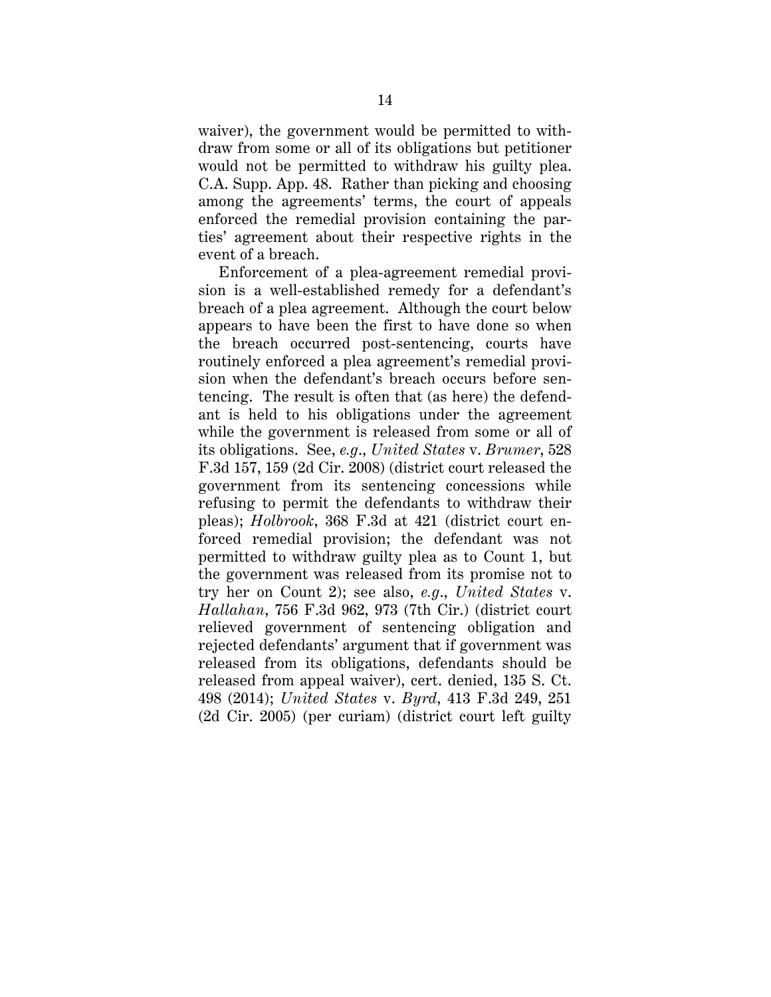waiver), the government would be permitted to withdraw from some or all of its obligations but petitioner would not be permitted to withdraw his guilty plea. C.A. Supp. App. 48. Rather than picking and choosing among the agreements' terms, the court of appeals enforced the remedial provision containing the parties' agreement about their respective rights in the event of a breach.

Enforcement of a plea-agreement remedial provision is a well-established remedy for a defendant's breach of a plea agreement. Although the court below appears to have been the first to have done so when the breach occurred post-sentencing, courts have routinely enforced a plea agreement's remedial provision when the defendant's breach occurs before sentencing. The result is often that (as here) the defendant is held to his obligations under the agreement while the government is released from some or all of its obligations. See, *e.g*., *United States* v. *Brumer*, 528 F.3d 157, 159 (2d Cir. 2008) (district court released the government from its sentencing concessions while refusing to permit the defendants to withdraw their pleas); *Holbrook*, 368 F.3d at 421 (district court enforced remedial provision; the defendant was not permitted to withdraw guilty plea as to Count 1, but the government was released from its promise not to try her on Count 2); see also, *e.g*., *United States* v. *Hallahan*, 756 F.3d 962, 973 (7th Cir.) (district court relieved government of sentencing obligation and rejected defendants' argument that if government was released from its obligations, defendants should be released from appeal waiver), cert. denied, 135 S. Ct. 498 (2014); *United States* v. *Byrd*, 413 F.3d 249, 251 (2d Cir. 2005) (per curiam) (district court left guilty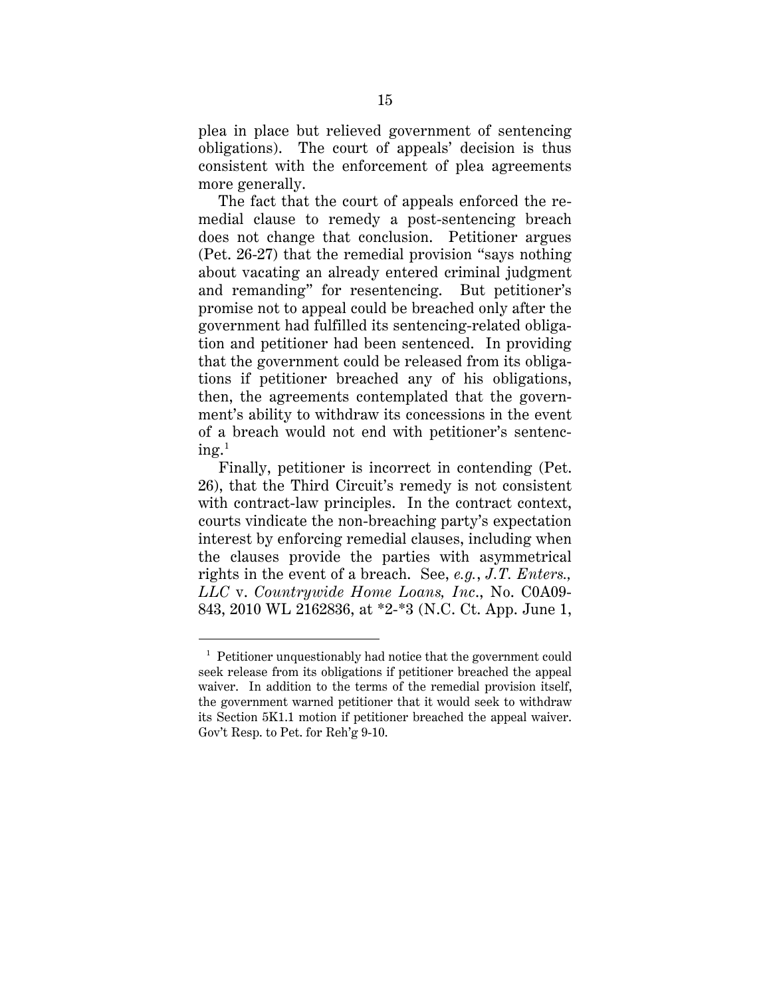plea in place but relieved government of sentencing obligations). The court of appeals' decision is thus consistent with the enforcement of plea agreements more generally.

The fact that the court of appeals enforced the remedial clause to remedy a post-sentencing breach does not change that conclusion. Petitioner argues (Pet. 26-27) that the remedial provision "says nothing about vacating an already entered criminal judgment and remanding" for resentencing. But petitioner's promise not to appeal could be breached only after the government had fulfilled its sentencing-related obligation and petitioner had been sentenced. In providing that the government could be released from its obligations if petitioner breached any of his obligations, then, the agreements contemplated that the government's ability to withdraw its concessions in the event of a breach would not end with petitioner's sentencing. $^{1}$  $^{1}$  $^{1}$ 

Finally, petitioner is incorrect in contending (Pet. 26), that the Third Circuit's remedy is not consistent with contract-law principles. In the contract context, courts vindicate the non-breaching party's expectation interest by enforcing remedial clauses, including when the clauses provide the parties with asymmetrical rights in the event of a breach. See, *e.g.*, *J.T. Enters., LLC* v. *Countrywide Home Loans, Inc*., No. C0A09- 843, 2010 WL 2162836, at \*2-\*3 (N.C. Ct. App. June 1,

<span id="page-19-0"></span> <sup>1</sup> Petitioner unquestionably had notice that the government could seek release from its obligations if petitioner breached the appeal waiver. In addition to the terms of the remedial provision itself, the government warned petitioner that it would seek to withdraw its Section 5K1.1 motion if petitioner breached the appeal waiver. Gov't Resp. to Pet. for Reh'g 9-10.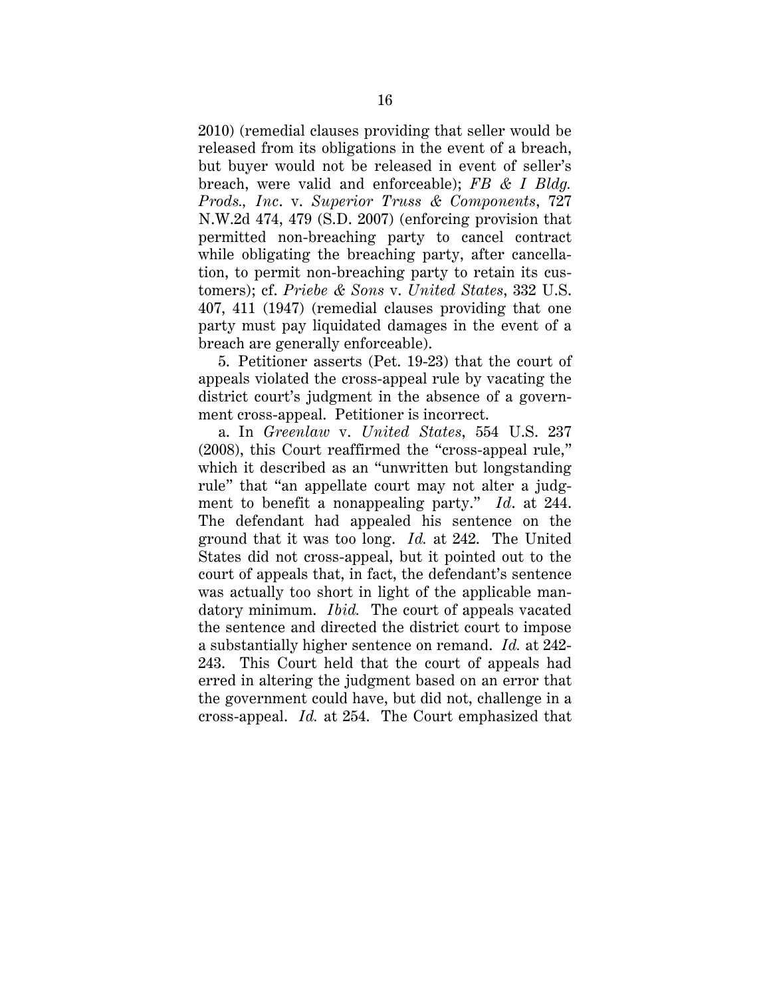2010) (remedial clauses providing that seller would be released from its obligations in the event of a breach, but buyer would not be released in event of seller's breach, were valid and enforceable); *FB & I Bldg. Prods., Inc*. v. *Superior Truss & Components*, 727 N.W.2d 474, 479 (S.D. 2007) (enforcing provision that permitted non-breaching party to cancel contract while obligating the breaching party, after cancellation, to permit non-breaching party to retain its customers); cf. *Priebe & Sons* v. *United States*, 332 U.S. 407, 411 (1947) (remedial clauses providing that one party must pay liquidated damages in the event of a breach are generally enforceable).

5. Petitioner asserts (Pet. 19-23) that the court of appeals violated the cross-appeal rule by vacating the district court's judgment in the absence of a government cross-appeal. Petitioner is incorrect.

a. In *Greenlaw* v. *United States*, 554 U.S. 237 (2008), this Court reaffirmed the "cross-appeal rule," which it described as an "unwritten but longstanding rule" that "an appellate court may not alter a judgment to benefit a nonappealing party." *Id*. at 244. The defendant had appealed his sentence on the ground that it was too long. *Id.* at 242. The United States did not cross-appeal, but it pointed out to the court of appeals that, in fact, the defendant's sentence was actually too short in light of the applicable mandatory minimum. *Ibid.* The court of appeals vacated the sentence and directed the district court to impose a substantially higher sentence on remand. *Id.* at 242- 243. This Court held that the court of appeals had erred in altering the judgment based on an error that the government could have, but did not, challenge in a cross-appeal. *Id.* at 254. The Court emphasized that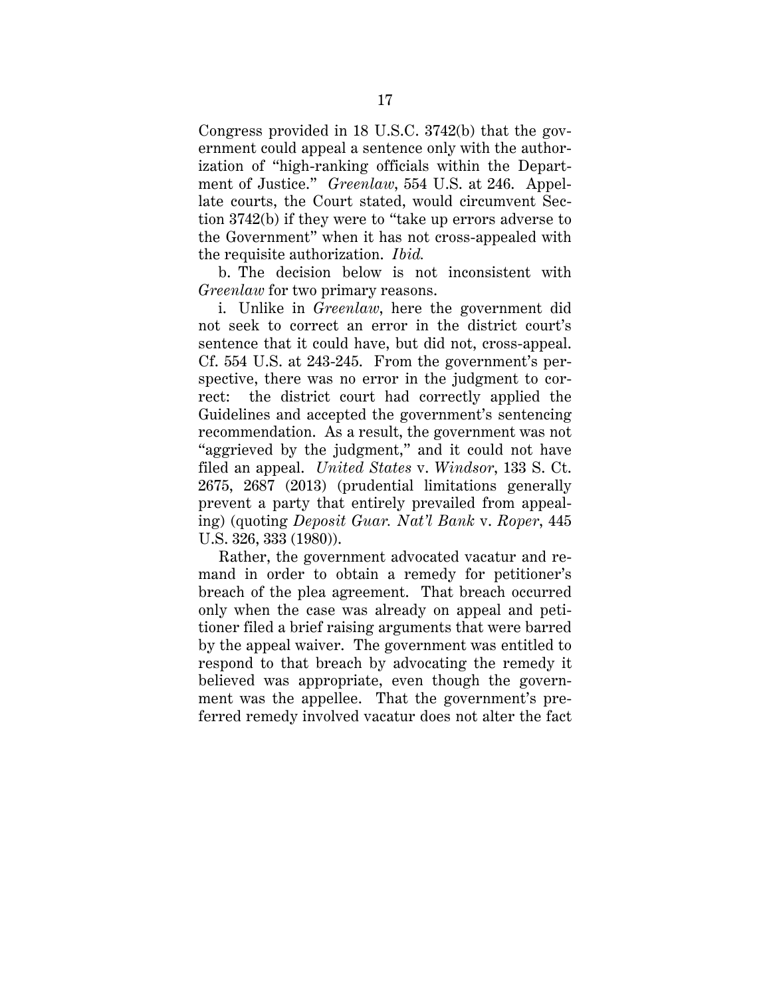Congress provided in 18 U.S.C. 3742(b) that the government could appeal a sentence only with the authorization of "high-ranking officials within the Department of Justice." *Greenlaw*, 554 U.S. at 246. Appellate courts, the Court stated, would circumvent Section 3742(b) if they were to "take up errors adverse to the Government" when it has not cross-appealed with the requisite authorization. *Ibid.*

b. The decision below is not inconsistent with *Greenlaw* for two primary reasons.

i. Unlike in *Greenlaw*, here the government did not seek to correct an error in the district court's sentence that it could have, but did not, cross-appeal. Cf. 554 U.S. at 243-245. From the government's perspective, there was no error in the judgment to correct: the district court had correctly applied the Guidelines and accepted the government's sentencing recommendation. As a result, the government was not "aggrieved by the judgment," and it could not have filed an appeal. *United States* v. *Windsor*, 133 S. Ct. 2675, 2687 (2013) (prudential limitations generally prevent a party that entirely prevailed from appealing) (quoting *Deposit Guar. Nat'l Bank* v. *Roper*, 445 U.S. 326, 333 (1980)).

Rather, the government advocated vacatur and remand in order to obtain a remedy for petitioner's breach of the plea agreement. That breach occurred only when the case was already on appeal and petitioner filed a brief raising arguments that were barred by the appeal waiver. The government was entitled to respond to that breach by advocating the remedy it believed was appropriate, even though the government was the appellee. That the government's preferred remedy involved vacatur does not alter the fact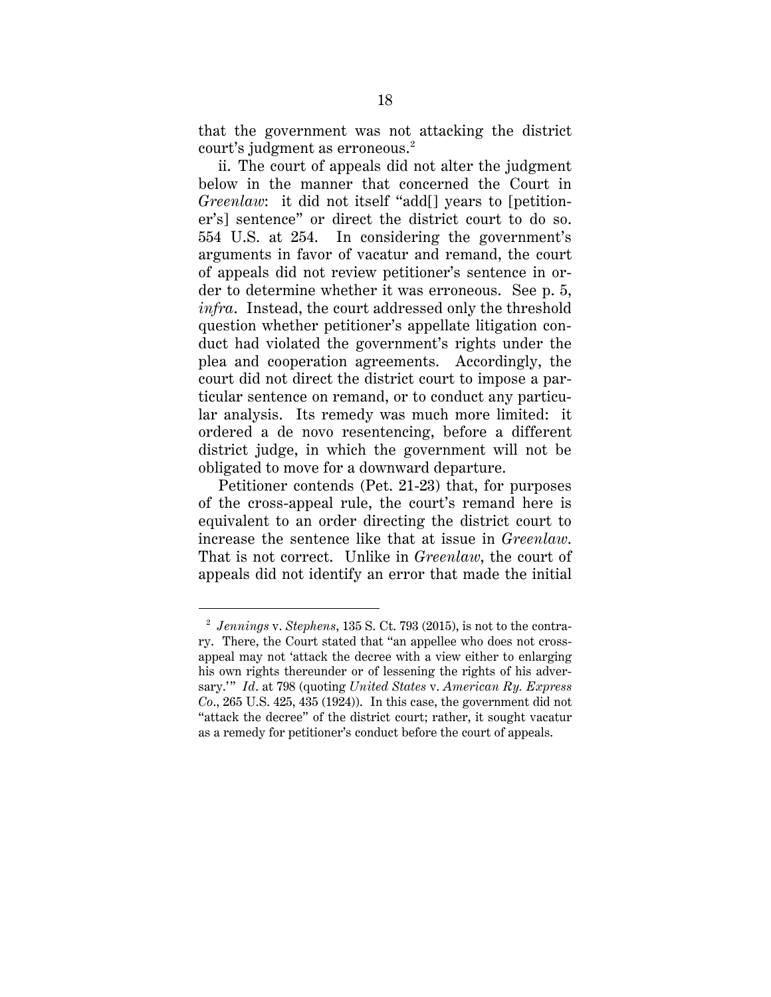that the government was not attacking the district court's judgment as erroneous.<sup>[2](#page-22-0)</sup>

ii. The court of appeals did not alter the judgment below in the manner that concerned the Court in *Greenlaw*: it did not itself "add[] years to [petitioner's] sentence" or direct the district court to do so. 554 U.S. at 254. In considering the government's arguments in favor of vacatur and remand, the court of appeals did not review petitioner's sentence in order to determine whether it was erroneous. See p. 5, *infra*. Instead, the court addressed only the threshold question whether petitioner's appellate litigation conduct had violated the government's rights under the plea and cooperation agreements. Accordingly, the court did not direct the district court to impose a particular sentence on remand, or to conduct any particular analysis. Its remedy was much more limited: it ordered a de novo resentencing, before a different district judge, in which the government will not be obligated to move for a downward departure.

Petitioner contends (Pet. 21-23) that, for purposes of the cross-appeal rule, the court's remand here is equivalent to an order directing the district court to increase the sentence like that at issue in *Greenlaw*. That is not correct. Unlike in *Greenlaw*, the court of appeals did not identify an error that made the initial

<span id="page-22-0"></span> <sup>2</sup> *Jennings* v. *Stephens*, 135 S. Ct. 793 (2015), is not to the contrary. There, the Court stated that "an appellee who does not crossappeal may not 'attack the decree with a view either to enlarging his own rights thereunder or of lessening the rights of his adversary.'" *Id*. at 798 (quoting *United States* v. *American Ry. Express Co*., 265 U.S. 425, 435 (1924)). In this case, the government did not "attack the decree" of the district court; rather, it sought vacatur as a remedy for petitioner's conduct before the court of appeals.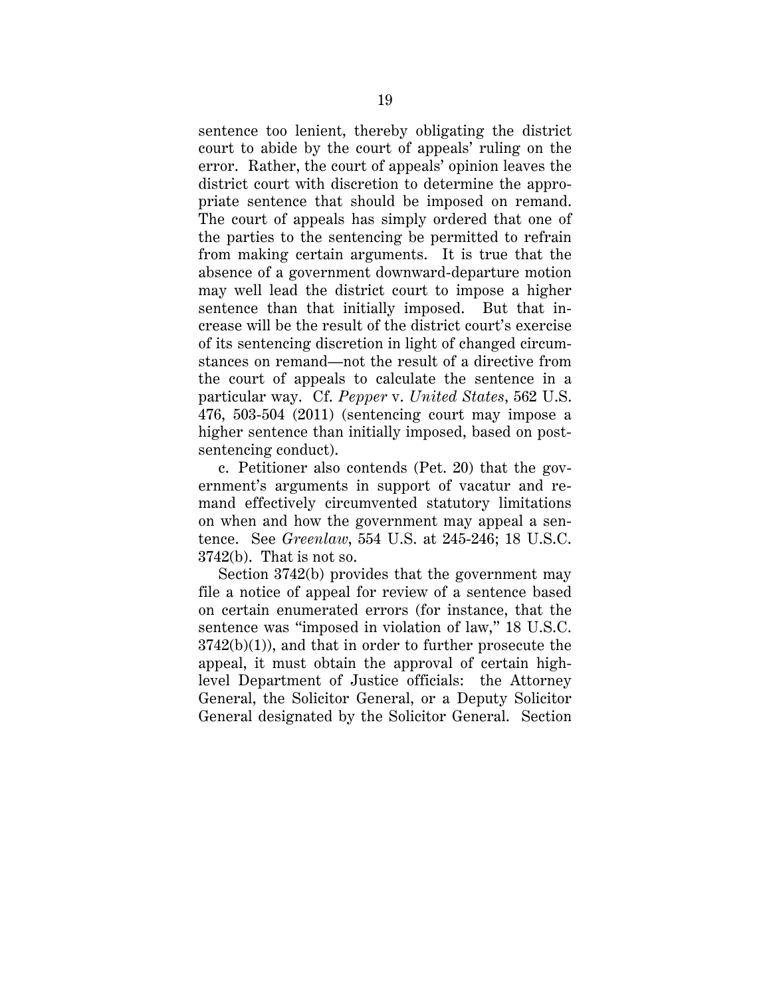sentence too lenient, thereby obligating the district court to abide by the court of appeals' ruling on the error. Rather, the court of appeals' opinion leaves the district court with discretion to determine the appropriate sentence that should be imposed on remand. The court of appeals has simply ordered that one of the parties to the sentencing be permitted to refrain from making certain arguments. It is true that the absence of a government downward-departure motion may well lead the district court to impose a higher sentence than that initially imposed. But that increase will be the result of the district court's exercise of its sentencing discretion in light of changed circumstances on remand—not the result of a directive from the court of appeals to calculate the sentence in a particular way. Cf. *Pepper* v. *United States*, 562 U.S. 476, 503-504 (2011) (sentencing court may impose a higher sentence than initially imposed, based on postsentencing conduct).

c. Petitioner also contends (Pet. 20) that the government's arguments in support of vacatur and remand effectively circumvented statutory limitations on when and how the government may appeal a sentence. See *Greenlaw*, 554 U.S. at 245-246; 18 U.S.C. 3742(b). That is not so.

Section 3742(b) provides that the government may file a notice of appeal for review of a sentence based on certain enumerated errors (for instance, that the sentence was "imposed in violation of law," 18 U.S.C.  $3742(b)(1)$ , and that in order to further prosecute the appeal, it must obtain the approval of certain highlevel Department of Justice officials: the Attorney General, the Solicitor General, or a Deputy Solicitor General designated by the Solicitor General. Section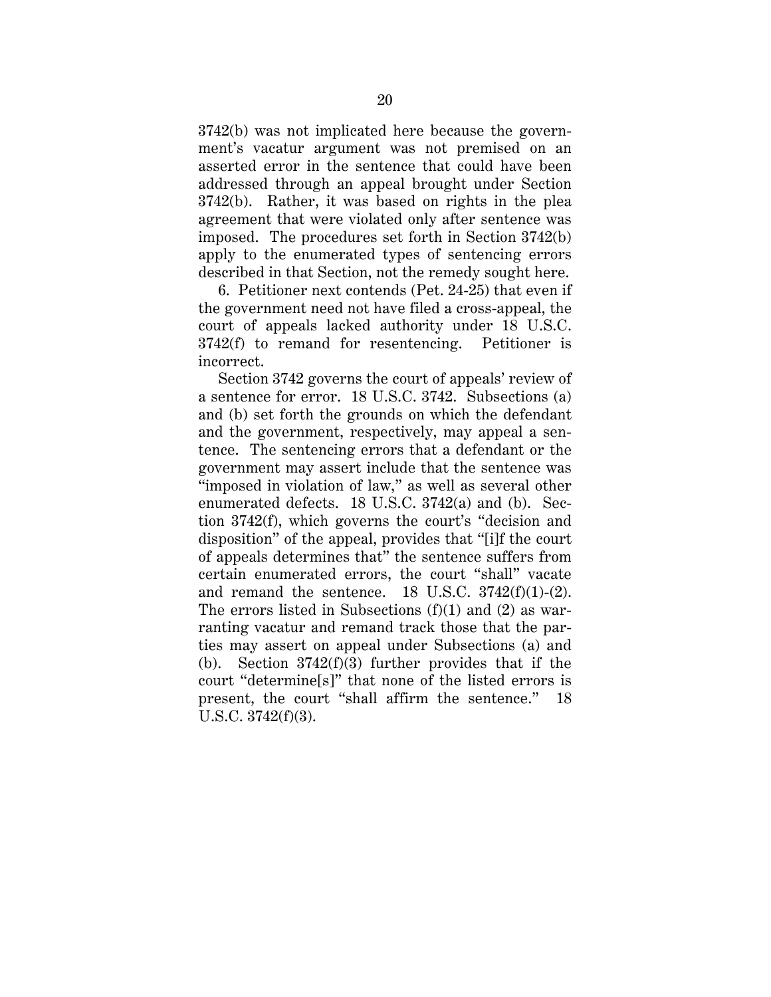3742(b) was not implicated here because the government's vacatur argument was not premised on an asserted error in the sentence that could have been addressed through an appeal brought under Section 3742(b). Rather, it was based on rights in the plea agreement that were violated only after sentence was imposed. The procedures set forth in Section 3742(b) apply to the enumerated types of sentencing errors described in that Section, not the remedy sought here.

6. Petitioner next contends (Pet. 24-25) that even if the government need not have filed a cross-appeal, the court of appeals lacked authority under 18 U.S.C. 3742(f) to remand for resentencing. Petitioner is incorrect.

Section 3742 governs the court of appeals' review of a sentence for error. 18 U.S.C. 3742. Subsections (a) and (b) set forth the grounds on which the defendant and the government, respectively, may appeal a sentence. The sentencing errors that a defendant or the government may assert include that the sentence was "imposed in violation of law," as well as several other enumerated defects. 18 U.S.C. 3742(a) and (b). Section 3742(f), which governs the court's "decision and disposition" of the appeal, provides that "[i]f the court of appeals determines that" the sentence suffers from certain enumerated errors, the court "shall" vacate and remand the sentence. 18 U.S.C.  $3742(f)(1)-(2)$ . The errors listed in Subsections  $(f)(1)$  and  $(2)$  as warranting vacatur and remand track those that the parties may assert on appeal under Subsections (a) and (b). Section  $3742(f)(3)$  further provides that if the court "determine[s]" that none of the listed errors is present, the court "shall affirm the sentence." 18 U.S.C. 3742(f)(3).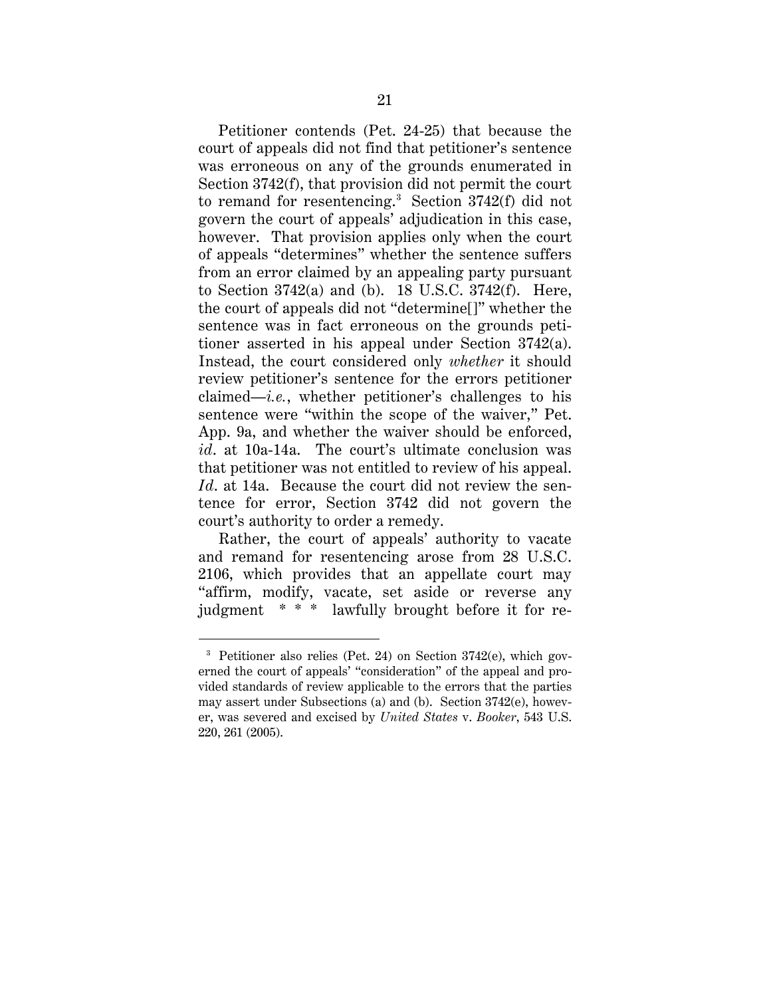Petitioner contends (Pet. 24-25) that because the court of appeals did not find that petitioner's sentence was erroneous on any of the grounds enumerated in Section 3742(f), that provision did not permit the court to remand for resentencing.<sup>[3](#page-25-0)</sup> Section  $3742(f)$  did not govern the court of appeals' adjudication in this case, however. That provision applies only when the court of appeals "determines" whether the sentence suffers from an error claimed by an appealing party pursuant to Section 3742(a) and (b). 18 U.S.C. 3742(f). Here, the court of appeals did not "determine[]" whether the sentence was in fact erroneous on the grounds petitioner asserted in his appeal under Section 3742(a). Instead, the court considered only *whether* it should review petitioner's sentence for the errors petitioner claimed—*i.e.*, whether petitioner's challenges to his sentence were "within the scope of the waiver," Pet. App. 9a, and whether the waiver should be enforced, id. at 10a-14a. The court's ultimate conclusion was that petitioner was not entitled to review of his appeal. *Id*. at 14a. Because the court did not review the sentence for error, Section 3742 did not govern the court's authority to order a remedy.

Rather, the court of appeals' authority to vacate and remand for resentencing arose from 28 U.S.C. 2106, which provides that an appellate court may "affirm, modify, vacate, set aside or reverse any judgment \* \* \* lawfully brought before it for re-

<span id="page-25-0"></span> <sup>3</sup> Petitioner also relies (Pet. 24) on Section 3742(e), which governed the court of appeals' "consideration" of the appeal and provided standards of review applicable to the errors that the parties may assert under Subsections (a) and (b). Section 3742(e), however, was severed and excised by *United States* v. *Booker*, 543 U.S. 220, 261 (2005).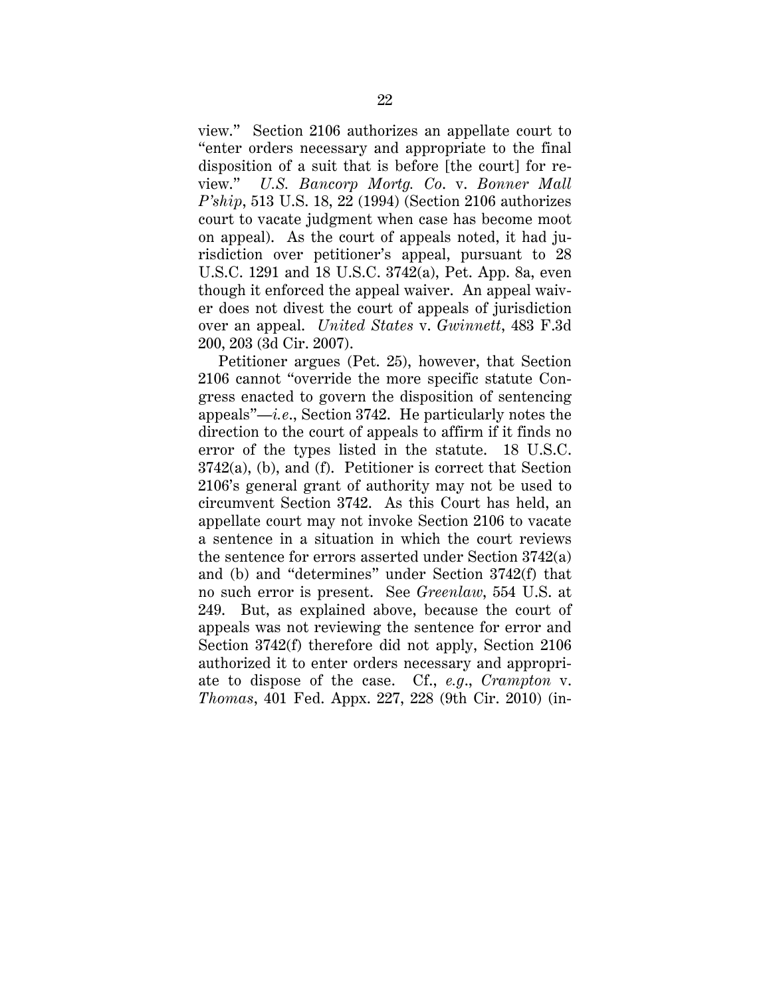view." Section 2106 authorizes an appellate court to "enter orders necessary and appropriate to the final disposition of a suit that is before [the court] for review." *U.S. Bancorp Mortg. Co*. v. *Bonner Mall P'ship*, 513 U.S. 18, 22 (1994) (Section 2106 authorizes court to vacate judgment when case has become moot on appeal). As the court of appeals noted, it had jurisdiction over petitioner's appeal, pursuant to 28 U.S.C. 1291 and 18 U.S.C. 3742(a), Pet. App. 8a, even though it enforced the appeal waiver. An appeal waiver does not divest the court of appeals of jurisdiction over an appeal. *United States* v. *Gwinnett*, 483 F.3d 200, 203 (3d Cir. 2007).

Petitioner argues (Pet. 25), however, that Section 2106 cannot "override the more specific statute Congress enacted to govern the disposition of sentencing appeals"—*i.e*., Section 3742. He particularly notes the direction to the court of appeals to affirm if it finds no error of the types listed in the statute. 18 U.S.C. 3742(a), (b), and (f). Petitioner is correct that Section 2106's general grant of authority may not be used to circumvent Section 3742. As this Court has held, an appellate court may not invoke Section 2106 to vacate a sentence in a situation in which the court reviews the sentence for errors asserted under Section 3742(a) and (b) and "determines" under Section 3742(f) that no such error is present. See *Greenlaw*, 554 U.S. at 249. But, as explained above, because the court of appeals was not reviewing the sentence for error and Section 3742(f) therefore did not apply, Section 2106 authorized it to enter orders necessary and appropriate to dispose of the case. Cf., *e.g*., *Crampton* v. *Thomas*, 401 Fed. Appx. 227, 228 (9th Cir. 2010) (in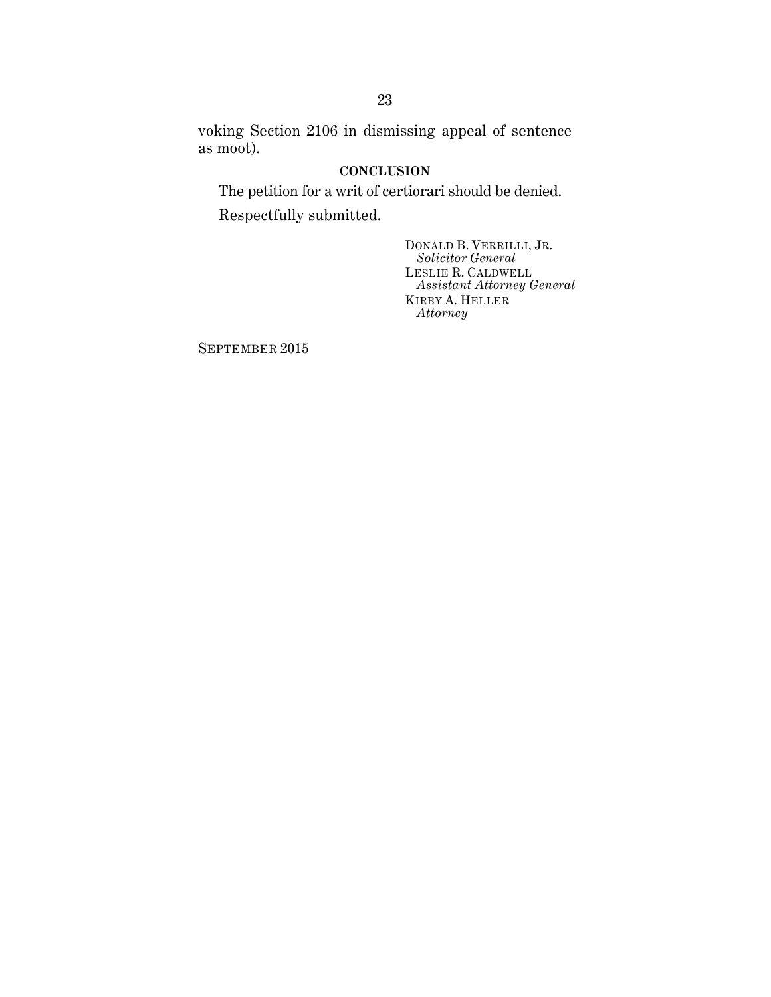voking Section 2106 in dismissing appeal of sentence as moot).

### **CONCLUSION**

<span id="page-27-0"></span>The petition for a writ of certiorari should be denied. Respectfully submitted.

> DONALD B. VERRILLI, JR. *Solicitor General* LESLIE R. CALDWELL *Assistant Attorney General* KIRBY A. HELLER *Attorney*

SEPTEMBER 2015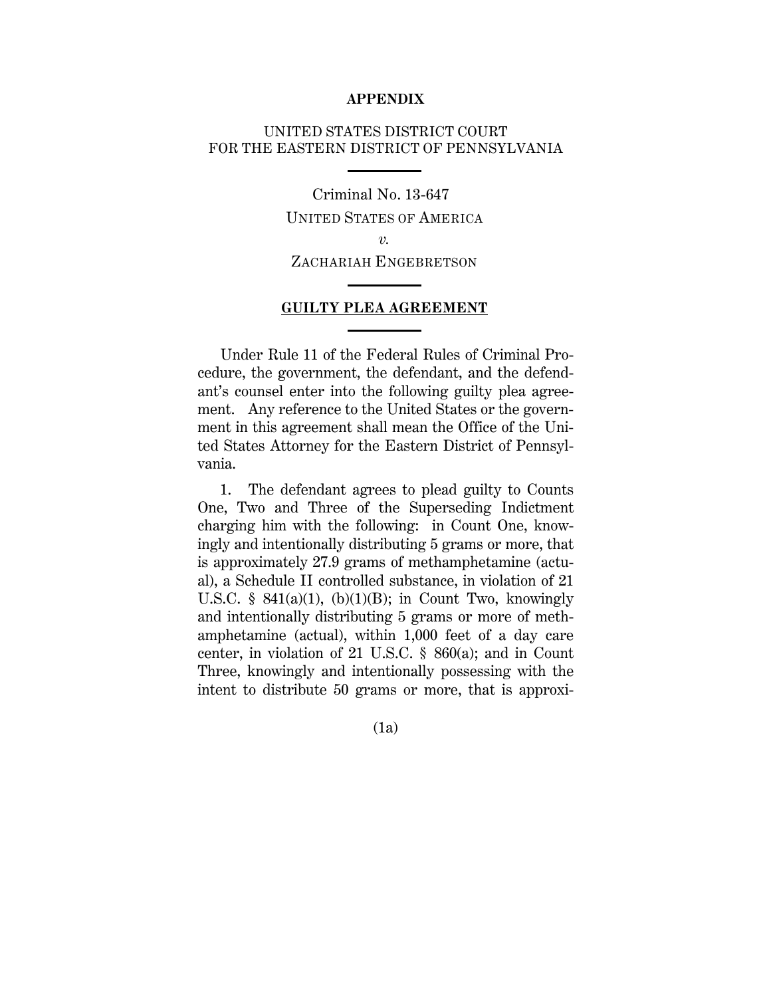#### **APPENDIX**

## UNITED STATES DISTRICT COURT FOR THE EASTERN DISTRICT OF PENNSYLVANIA

Criminal No. 13-647 UNITED STATES OF AMERICA *v.*  ZACHARIAH ENGEBRETSON

#### **GUILTY PLEA AGREEMENT**

Under Rule 11 of the Federal Rules of Criminal Procedure, the government, the defendant, and the defendant's counsel enter into the following guilty plea agreement. Any reference to the United States or the government in this agreement shall mean the Office of the United States Attorney for the Eastern District of Pennsylvania.

 1. The defendant agrees to plead guilty to Counts One, Two and Three of the Superseding Indictment charging him with the following: in Count One, knowingly and intentionally distributing 5 grams or more, that is approximately 27.9 grams of methamphetamine (actual), a Schedule II controlled substance, in violation of 21 U.S.C.  $\S$  841(a)(1), (b)(1)(B); in Count Two, knowingly and intentionally distributing 5 grams or more of methamphetamine (actual), within 1,000 feet of a day care center, in violation of 21 U.S.C. § 860(a); and in Count Three, knowingly and intentionally possessing with the intent to distribute 50 grams or more, that is approxi-

(1a)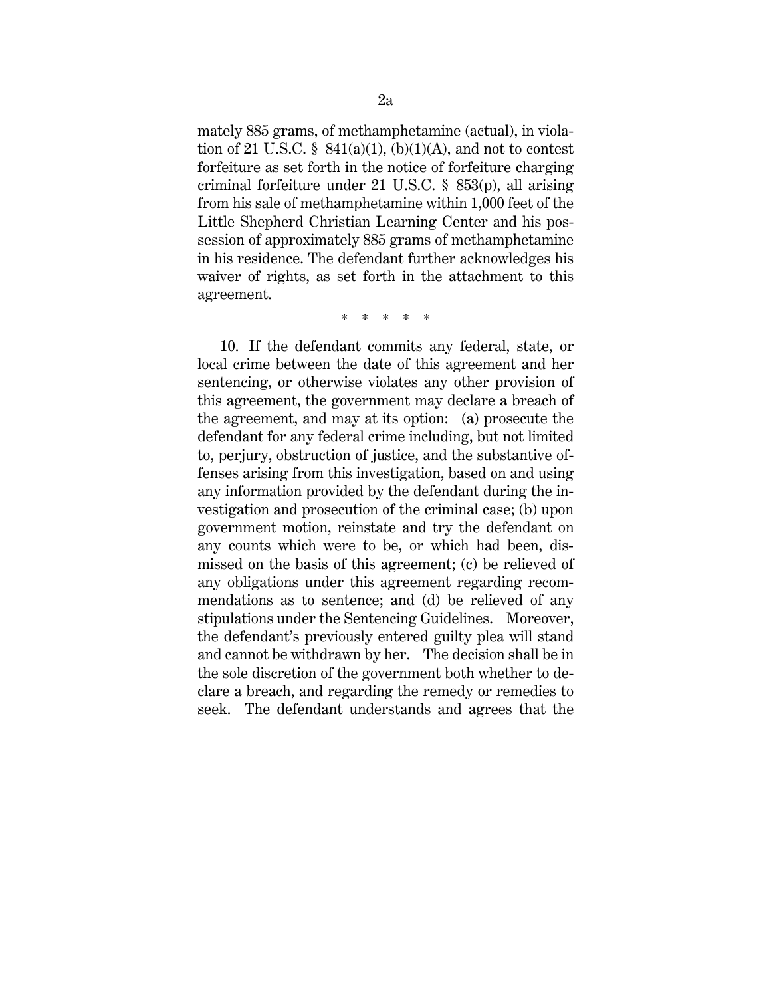mately 885 grams, of methamphetamine (actual), in violation of 21 U.S.C. §  $841(a)(1)$ , (b)(1)(A), and not to contest forfeiture as set forth in the notice of forfeiture charging criminal forfeiture under 21 U.S.C. § 853(p), all arising from his sale of methamphetamine within 1,000 feet of the Little Shepherd Christian Learning Center and his possession of approximately 885 grams of methamphetamine in his residence. The defendant further acknowledges his waiver of rights, as set forth in the attachment to this agreement.

\* \* \* \* \*

 10. If the defendant commits any federal, state, or local crime between the date of this agreement and her sentencing, or otherwise violates any other provision of this agreement, the government may declare a breach of the agreement, and may at its option: (a) prosecute the defendant for any federal crime including, but not limited to, perjury, obstruction of justice, and the substantive offenses arising from this investigation, based on and using any information provided by the defendant during the investigation and prosecution of the criminal case; (b) upon government motion, reinstate and try the defendant on any counts which were to be, or which had been, dismissed on the basis of this agreement; (c) be relieved of any obligations under this agreement regarding recommendations as to sentence; and (d) be relieved of any stipulations under the Sentencing Guidelines. Moreover, the defendant's previously entered guilty plea will stand and cannot be withdrawn by her. The decision shall be in the sole discretion of the government both whether to declare a breach, and regarding the remedy or remedies to seek. The defendant understands and agrees that the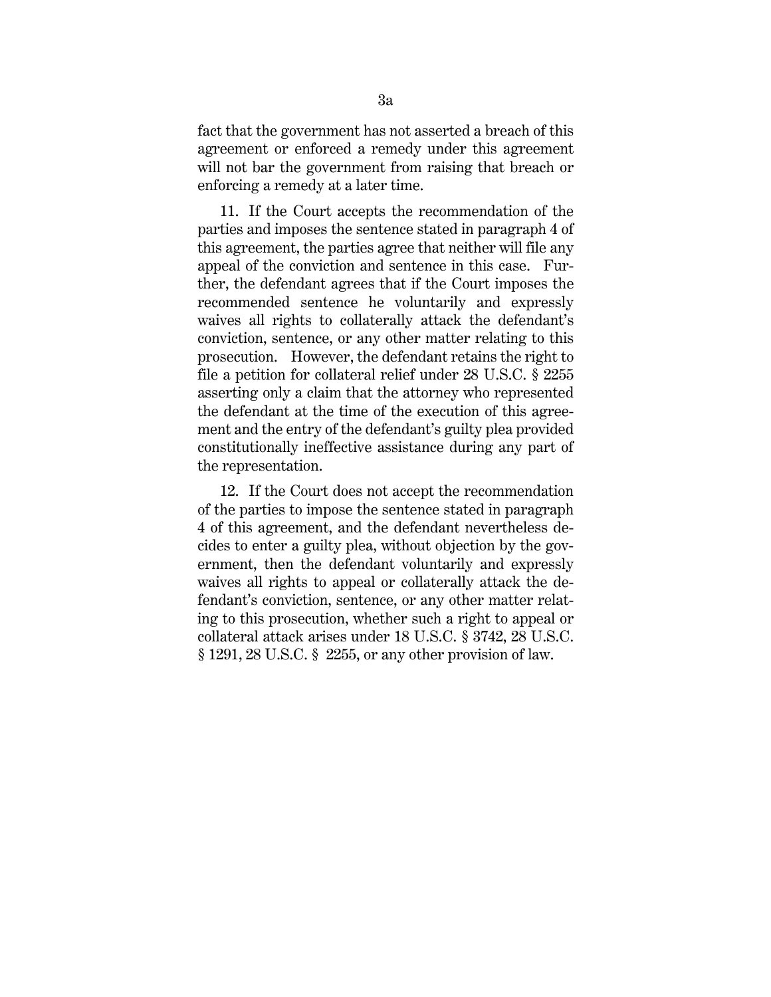fact that the government has not asserted a breach of this agreement or enforced a remedy under this agreement will not bar the government from raising that breach or enforcing a remedy at a later time.

 11. If the Court accepts the recommendation of the parties and imposes the sentence stated in paragraph 4 of this agreement, the parties agree that neither will file any appeal of the conviction and sentence in this case. Further, the defendant agrees that if the Court imposes the recommended sentence he voluntarily and expressly waives all rights to collaterally attack the defendant's conviction, sentence, or any other matter relating to this prosecution. However, the defendant retains the right to file a petition for collateral relief under 28 U.S.C. § 2255 asserting only a claim that the attorney who represented the defendant at the time of the execution of this agreement and the entry of the defendant's guilty plea provided constitutionally ineffective assistance during any part of the representation.

 12. If the Court does not accept the recommendation of the parties to impose the sentence stated in paragraph 4 of this agreement, and the defendant nevertheless decides to enter a guilty plea, without objection by the government, then the defendant voluntarily and expressly waives all rights to appeal or collaterally attack the defendant's conviction, sentence, or any other matter relating to this prosecution, whether such a right to appeal or collateral attack arises under 18 U.S.C. § 3742, 28 U.S.C. § 1291, 28 U.S.C. § 2255, or any other provision of law.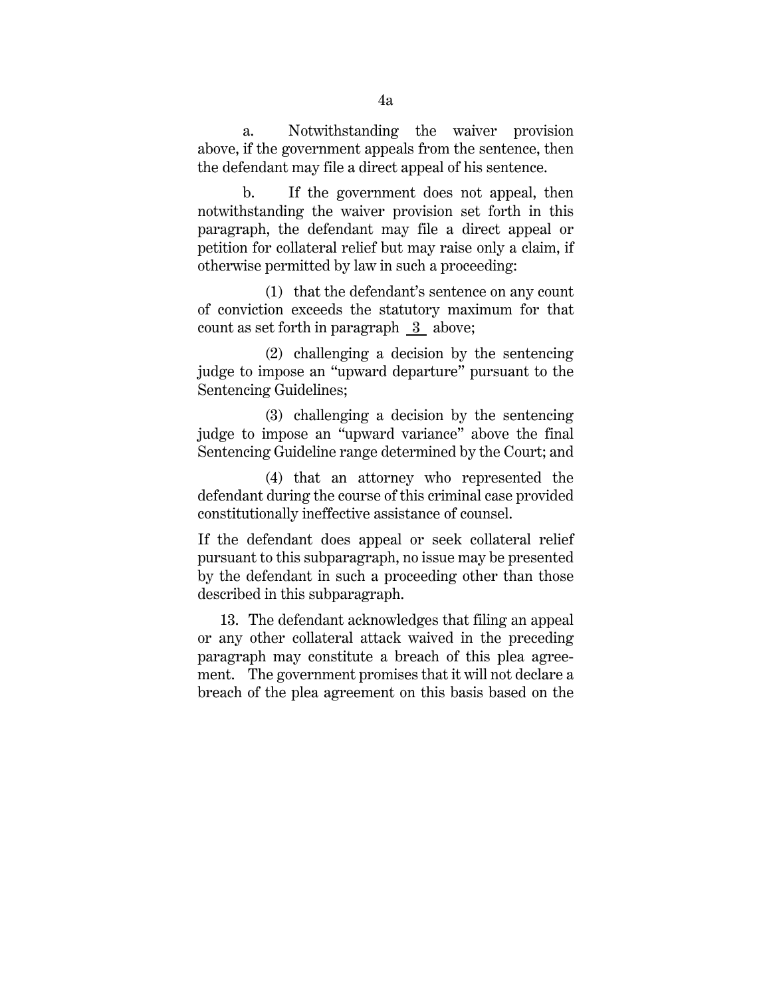a. Notwithstanding the waiver provision above, if the government appeals from the sentence, then the defendant may file a direct appeal of his sentence.

 b. If the government does not appeal, then notwithstanding the waiver provision set forth in this paragraph, the defendant may file a direct appeal or petition for collateral relief but may raise only a claim, if otherwise permitted by law in such a proceeding:

 (1) that the defendant's sentence on any count of conviction exceeds the statutory maximum for that count as set forth in paragraph 3 above;

 (2) challenging a decision by the sentencing judge to impose an "upward departure" pursuant to the Sentencing Guidelines;

 (3) challenging a decision by the sentencing judge to impose an "upward variance" above the final Sentencing Guideline range determined by the Court; and

 (4) that an attorney who represented the defendant during the course of this criminal case provided constitutionally ineffective assistance of counsel.

If the defendant does appeal or seek collateral relief pursuant to this subparagraph, no issue may be presented by the defendant in such a proceeding other than those described in this subparagraph.

13. The defendant acknowledges that filing an appeal or any other collateral attack waived in the preceding paragraph may constitute a breach of this plea agreement. The government promises that it will not declare a breach of the plea agreement on this basis based on the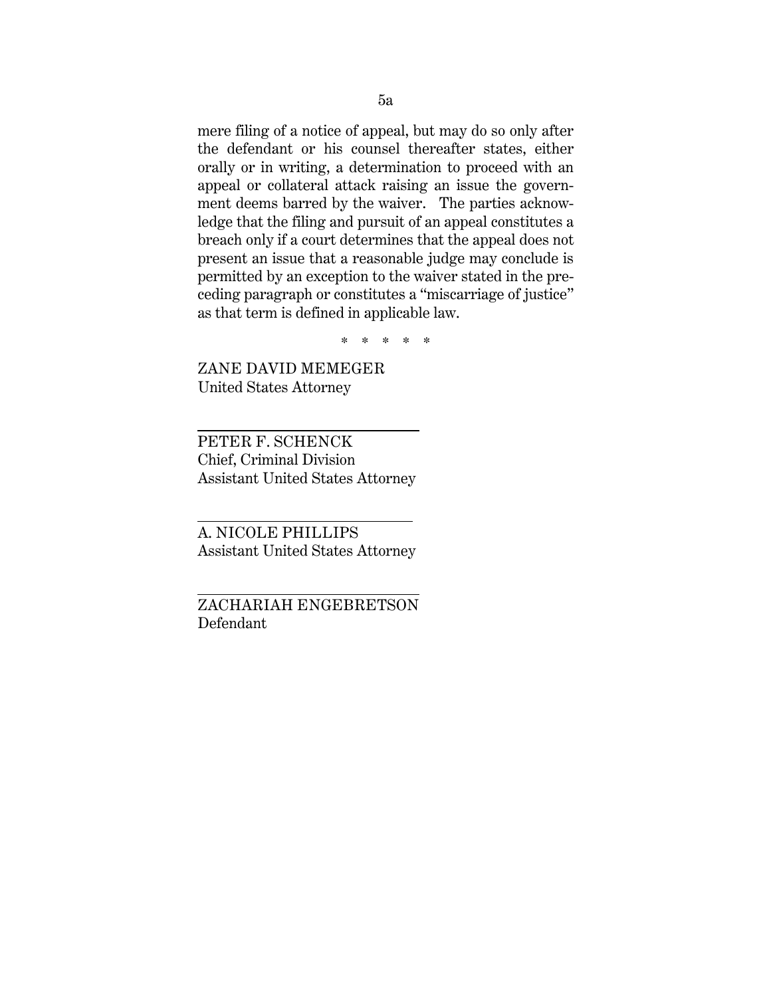mere filing of a notice of appeal, but may do so only after the defendant or his counsel thereafter states, either orally or in writing, a determination to proceed with an appeal or collateral attack raising an issue the government deems barred by the waiver. The parties acknowledge that the filing and pursuit of an appeal constitutes a breach only if a court determines that the appeal does not present an issue that a reasonable judge may conclude is permitted by an exception to the waiver stated in the preceding paragraph or constitutes a "miscarriage of justice" as that term is defined in applicable law.

\* \* \* \* \*

ZANE DAVID MEMEGER United States Attorney

 $\overline{a}$ 

 $\overline{a}$ 

l

PETER F. SCHENCK Chief, Criminal Division Assistant United States Attorney

A. NICOLE PHILLIPS Assistant United States Attorney

ZACHARIAH ENGEBRETSON Defendant